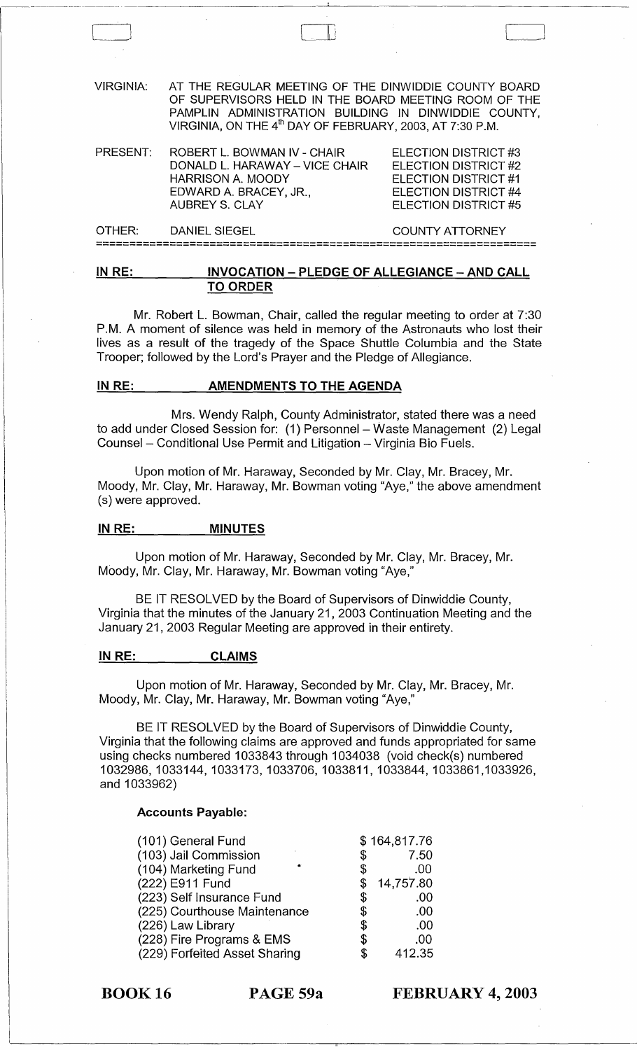| VIRGINIA:          | AT THE REGULAR MEETING OF THE DINWIDDIE COUNTY BOARD<br>OF SUPERVISORS HELD IN THE BOARD MEETING ROOM OF THE<br>PAMPLIN ADMINISTRATION BUILDING IN DINWIDDIE COUNTY,<br>VIRGINIA, ON THE 4 <sup>th</sup> DAY OF FEBRUARY, 2003, AT 7:30 P.M. |                                                                                                                      |
|--------------------|----------------------------------------------------------------------------------------------------------------------------------------------------------------------------------------------------------------------------------------------|----------------------------------------------------------------------------------------------------------------------|
| PRESENT:           | ROBERT L. BOWMAN IV - CHAIR<br>DONALD L. HARAWAY - VICE CHAIR<br><b>HARRISON A. MOODY</b><br>EDWARD A. BRACEY, JR.,<br><b>AUBREY S. CLAY</b>                                                                                                 | ELECTION DISTRICT #3<br>ELECTION DISTRICT #2<br>ELECTION DISTRICT #1<br>ELECTION DISTRICT #4<br>ELECTION DISTRICT #5 |
| OTHER <sup>.</sup> | DANIEL SIEGEL                                                                                                                                                                                                                                | <b>COUNTY ATTORNEY</b>                                                                                               |

 $\Box$ 

## IN RE: INVOCATION - PLEDGE OF ALLEGIANCE - AND CALL TO ORDER

==================================================================

Mr. Robert L. Bowman, Chair, called the regular meeting to order at 7:30 P.M. A moment of silence was held in memory of the Astronauts who lost their lives as a result of the tragedy of the Space Shuttle Columbia and the State Trooper; followed by the Lord's Prayer and the Pledge of Allegiance.

#### IN RE: AMENDMENTS TO THE AGENDA

Mrs. Wendy Ralph, County Administrator, stated there was a need to add under Closed Session for: (1) Personnel - Waste Management (2) Legal Counsel - Conditional Use Permit and Litigation - Virginia Bio Fuels.

Upon motion of Mr. Haraway, Seconded by Mr. Clay, Mr. Bracey, Mr. Moody, Mr. Clay, Mr. Haraway, Mr. Bowman voting "Aye," the above amendment (s) were approved.

#### IN RE: MINUTES

Upon motion of Mr. Haraway, Seconded by Mr. Clay, Mr. Bracey, Mr. Moody, Mr. Clay, Mr. Haraway, Mr. Bowman voting "Aye,"

BE IT RESOLVED by the Board of Supervisors of Dinwiddie County, Virginia that the minutes of the January 21,2003 Continuation Meeting and the January 21, 2003 Regular Meeting are approved in their entirety.

#### IN RE: CLAIMS

Upon motion of Mr. Haraway, Seconded by Mr. Clay, Mr. Bracey, Mr. Moody, Mr. Clay, Mr. Haraway, Mr. Bowman voting "Aye,"

BE IT RESOLVED by the Board of Supervisors of Dinwiddie County, Virginia that the following claims are approved and funds appropriated for same using checks numbered 1033843 through 1034038 (void check(s) numbered 1032986,1033144,1033173,1033706,1033811, 1033844,1033861,1033926, and 1033962)

## Accounts Payable:

| (101) General Fund            |    | \$164,817.76 |
|-------------------------------|----|--------------|
| (103) Jail Commission         | \$ | 7.50         |
| (104) Marketing Fund          | \$ | .00          |
| (222) E911 Fund               |    | 14,757.80    |
| (223) Self Insurance Fund     | \$ | .00          |
| (225) Courthouse Maintenance  | \$ | .00          |
| (226) Law Library             | \$ | .00          |
| (228) Fire Programs & EMS     | \$ | .00          |
| (229) Forfeited Asset Sharing | S  | 412.35       |

BOOK 16 PAGE 59a

FEBRUARY 4, 2003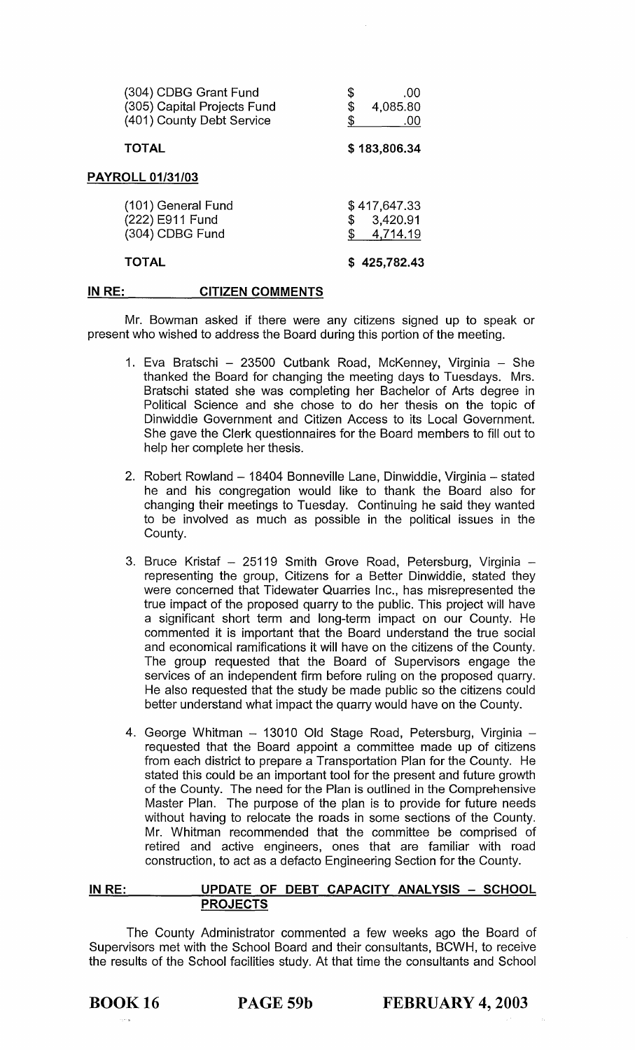| (304) CDBG Grant Fund<br>(305) Capital Projects Fund<br>(401) County Debt Service | \$<br>.00<br>4,085.80<br>\$<br>.00   |
|-----------------------------------------------------------------------------------|--------------------------------------|
| <b>TOTAL</b>                                                                      | \$183,806.34                         |
| <b>PAYROLL 01/31/03</b>                                                           |                                      |
| (101) General Fund<br>(222) E911 Fund<br>(304) CDBG Fund                          | \$417,647.33<br>3,420.91<br>4,714.19 |

#### TOTAL

\$ 425,782.43

#### IN RE: CITIZEN COMMENTS

Mr. Bowman asked if there were any citizens signed up to speak or present who wished to address the Board during this portion of the meeting.

- 1. Eva Bratschi 23500 Cutbank Road, McKenney, Virginia She thanked the Board for changing the meeting days to Tuesdays. Mrs. Bratschi stated she was completing her Bachelor of Arts degree in Political Science and she chose to do her thesis on the topic of Dinwiddie Government and Citizen Access to its Local Government. She gave the Clerk questionnaires for the Board members to fill out to help her complete her thesis.
- 2. Robert Rowland 18404 Bonneville Lane, Dinwiddie, Virginia stated he and his congregation would like to thank the Board also for changing their meetings to Tuesday. Continuing he said they wanted to be involved as much as possible in the political issues in the County.
- 3. Bruce Kristaf 25119 Smith Grove Road, Petersburg, Virginia representing the group, Citizens for a Better Dinwiddie, stated they were concerned that Tidewater Quarries Inc., has misrepresented the true impact of the proposed quarry to the public. This project will have a significant short term and long-term impact on our County. He commented it is important that the Board understand the true social and economical ramifications it will have on the citizens of the County. The group requested that the Board of Supervisors engage the services of an independent firm before ruling on the proposed quarry. He also requested that the study be made public so the citizens could better understand what impact the quarry would have on the County.
- 4. George Whitman 13010 Old Stage Road, Petersburg, Virginia requested that the Board appoint a committee made up of citizens from each district to prepare a Transportation Plan for the County. He stated this could be an important tool for the present and future growth of the County. The need for the Plan is outlined in the Comprehensive Master Plan. The purpose of the plan is to provide for future needs without having to relocate the roads in some sections of the County. Mr. Whitman recommended that the committee be comprised of retired and active engineers, ones that are familiar with road construction, to act as a defacto Engineering Section for the County.

#### IN RE: UPDATE OF DEBT CAPACITY ANALYSIS - SCHOOL PROJECTS

The County Administrator commented a few weeks ago the Board of Supervisors met with the School Board and their consultants, BCWH, to receive the results of the School facilities study. At that time the consultants and School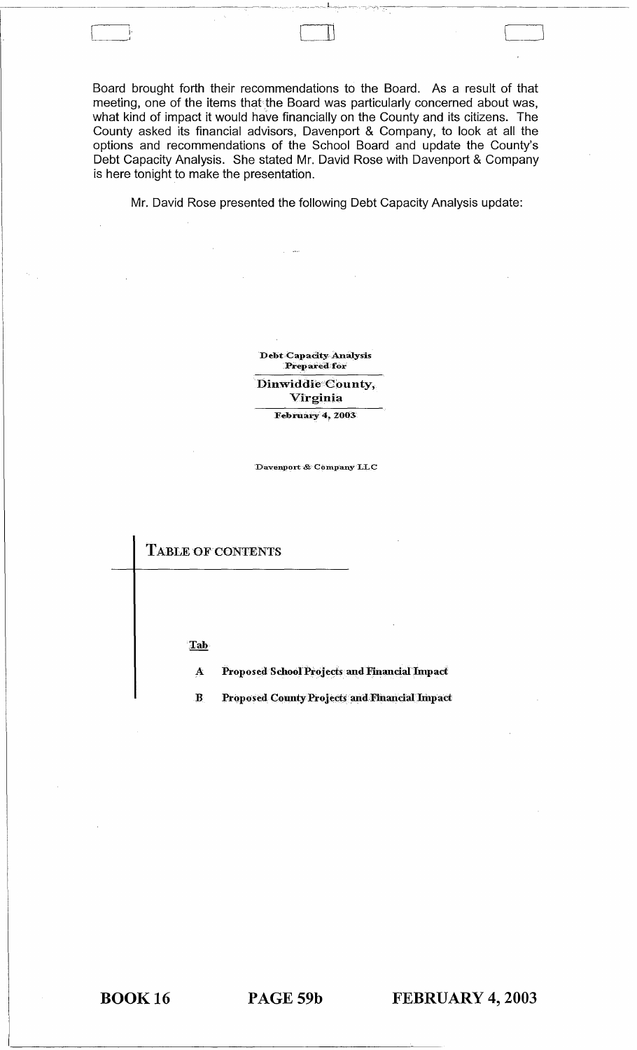Board brought forth their recommendations to the Board. As a result of that meeting, one of the items that the Board was particularly concerned about was, what kind of impact it would have financially on the County and its citizens. The County asked its financial advisors, Davenport & Company, to look at all the options and recommendations of the School Board and update the County's Debt Capacity Analysis. She stated Mr. David Rose with Davenport & Company is here tonight to make the presentation.

Mr. David Rose presented the following Debt Capacity Analysis update:

**Debt Capacity Analysis** Prepared for Dinwiddie County, Virginia

February 4, 2003

Davenport & Company LLC

TABLE OF CONTENTS

Tab

Ă Proposed School Projects and Financial Impact

 $\mathbf{B}$ **Proposed County Projects and Financial Impact** 

**BOOK16** 

PAGE 59b

FEBRUARY 4, 2003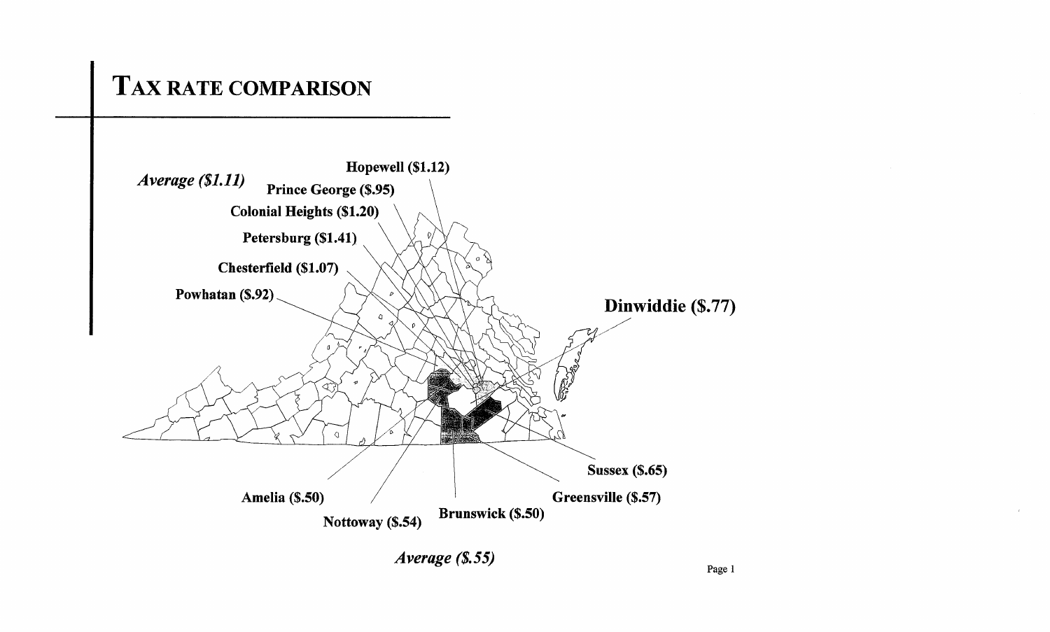# TAX RATE **COMPARISON**

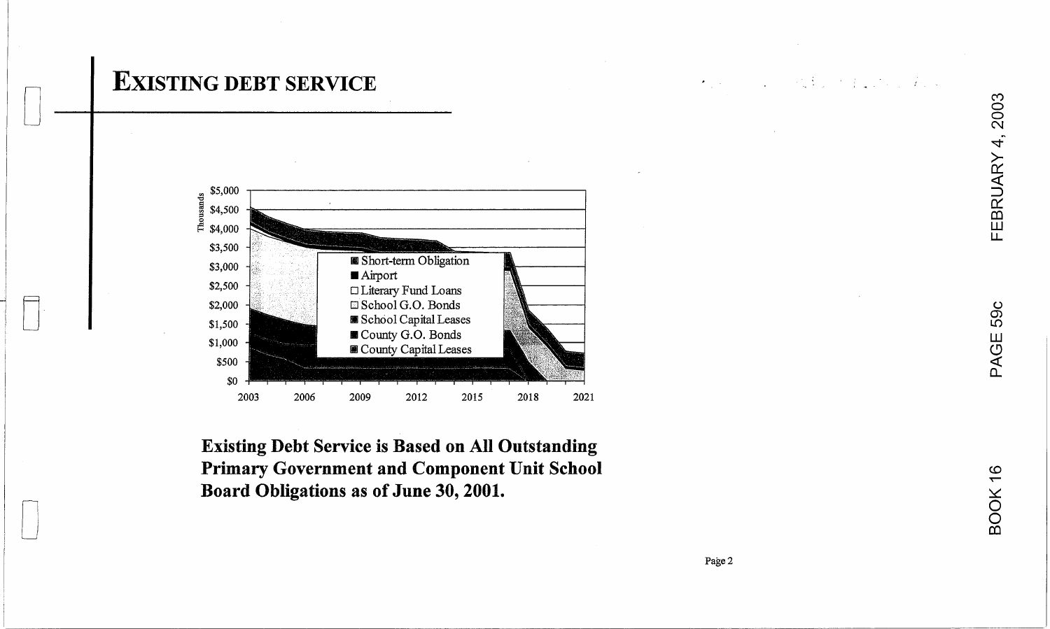# **EXISTING DEBT SERVICE**



**Existing Debt Service is Based on All Outstanding Primary Government and Component Unit School** Board Obligations as of June 30, 2001.

 $\label{eq:2} \begin{split} \mathcal{L}_{\mathcal{A}}^{\mathcal{A}}(\mathbf{y}) &= \mathcal{L}_{\mathcal{A}}^{\mathcal{A}}(\mathbf{y}) + \mathcal{L}_{\mathcal{A}}^{\mathcal{A}}(\mathbf{y}) + \mathcal{L}_{\mathcal{A}}^{\mathcal{A}}(\mathbf{y}) + \mathcal{L}_{\mathcal{A}}^{\mathcal{A}}(\mathbf{y}) + \mathcal{L}_{\mathcal{A}}^{\mathcal{A}}(\mathbf{y}) + \mathcal{L}_{\mathcal{A}}^{\mathcal{A}}(\mathbf{y}) + \mathcal{L}_{\mathcal{A}}^{\mathcal{A}}(\mathbf{y}) +$ 

FEBRUARY 4, 2003

59c

PAGE !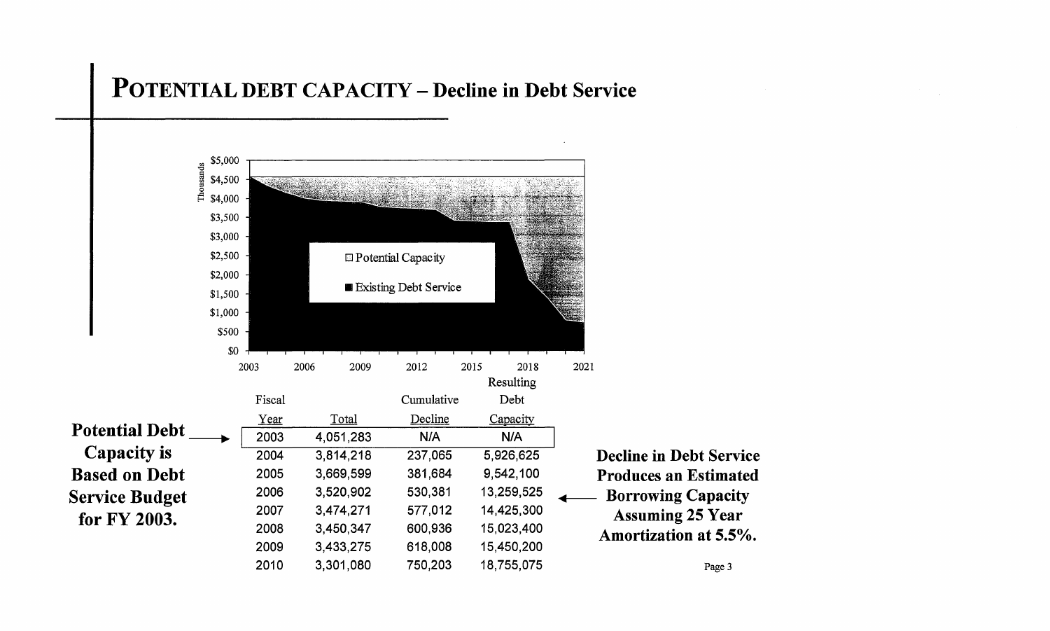## **POTENTIAL DEBT CAPACITY - Decline in Debt Service**

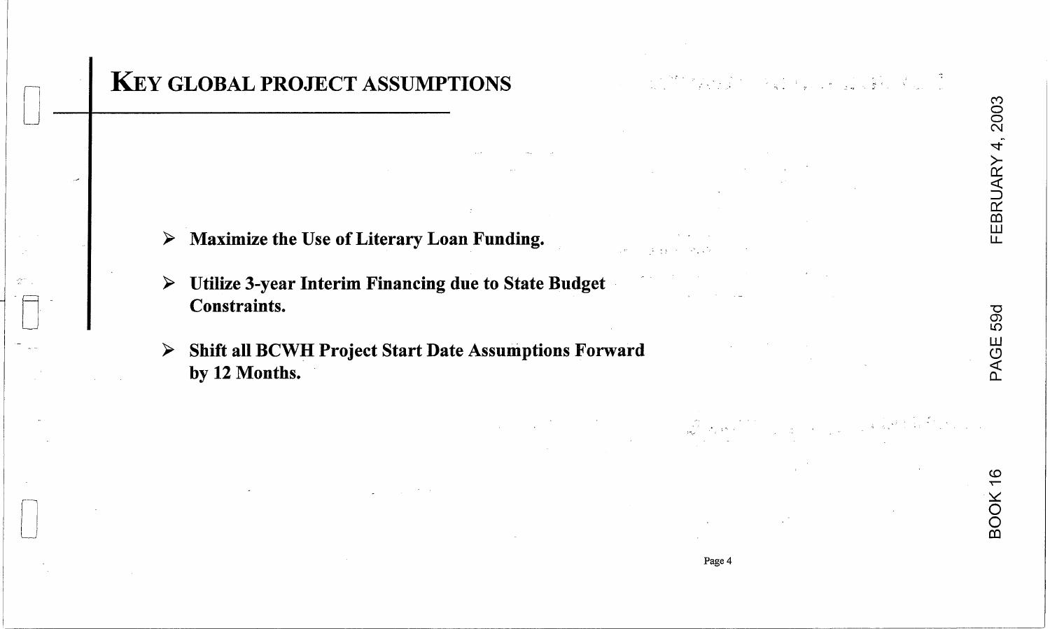# 59d PAGE

**BOOK 16** 

# **KEY GLOBAL PROJECT ASSUMPTIONS**

- Maximize the Use of Literary Loan Funding. ➤
- Utilize 3-year Interim Financing due to State Budget ➤ **Constraints.**
- Shift all BCWH Project Start Date Assumptions Forward  $\blacktriangleright$ by 12 Months.

**1. 女性的 化二硫酸**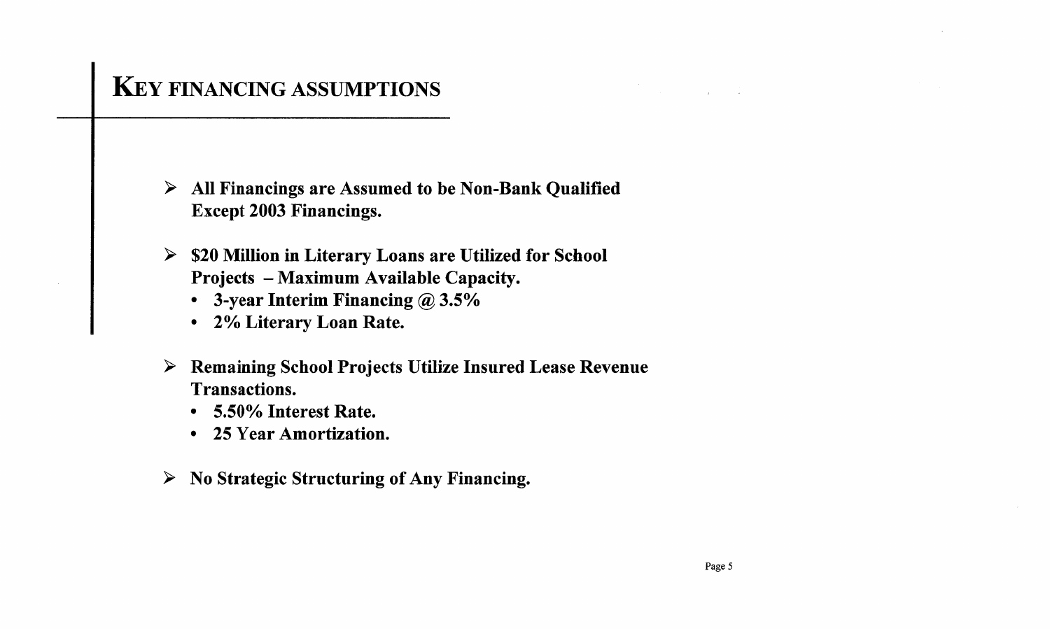# KEy FINANCING ASSUMPTIONS

 $\triangleright$  All Financings are Assumed to be Non-Bank Qualified Except 2003 Financings.

- $>$  \$20 Million in Literary Loans are Utilized for School Projects - Maximum Available Capacity.
	- 3-year Interim Financing @ 3.5%
	- 2% Literary Loan Rate.
- $\triangleright$  Remaining School Projects Utilize Insured Lease Revenue Transactions.
	- 5.50% Interest Rate.
	- 25 Year Amortization.
- $\triangleright$  No Strategic Structuring of Any Financing.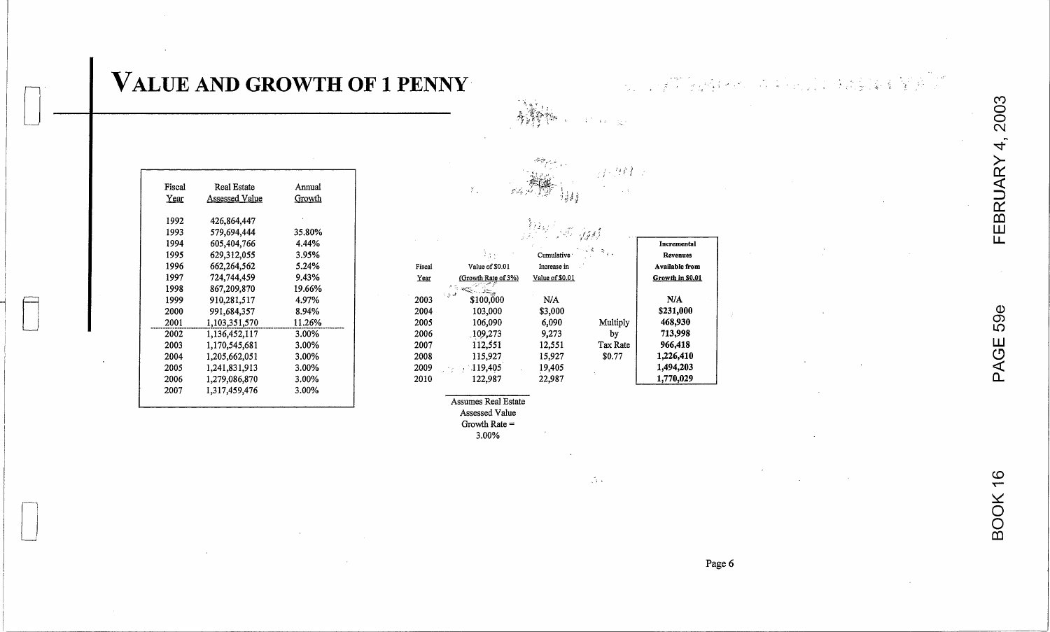| Fiscal | Real Estate    | Annual |
|--------|----------------|--------|
| Year   | Assessed Value | Growth |
| 1992   | 426,864,447    |        |
| 1993   | 579,694,444    | 35.80% |
| 1994   | 605.404.766    | 4.44%  |
| 1995   | 629,312,055    | 3.95%  |
| 1996   | 662,264,562    | 5.24%  |
| 1997   | 724,744.459    | 9.43%  |
| 1998   | 867,209,870    | 19.66% |
| 1999   | 910,281,517    | 4.97%  |
| 2000   | 991.684.357    | 8.94%  |
| 2001   | 1,103,351,570  | 11.26% |
| 2002   | 1,136,452,117  | 3.00%  |
| 2003   | 1,170,545,681  | 3.00%  |
| 2004   | 1,205,662,051  | 3.00%  |
| 2005   | 1,241,831,913  | 3.00%  |
| 2006   | 1,279,086,870  | 3.00%  |
| 2007   | 1,317,459,476  | 3.00%  |

|              |                      | 35 Ages                   |                |                                           |  |
|--------------|----------------------|---------------------------|----------------|-------------------------------------------|--|
| Fiscal       | Value of \$0.01      | Cumulative<br>Increase in |                | Incremental<br>Revenues<br>Available from |  |
| Year         | (Growth Rate of 3%)  | Value of \$0.01           |                | Growth in \$0.01                          |  |
| 2003         | اه از د<br>\$100,000 | N/A                       |                | N/A                                       |  |
| 2004<br>2005 | 103,000<br>106,090   | \$3,000<br>6.090          | Multiply       | \$231,000<br>468,930                      |  |
| 2006<br>2007 | 109,273<br>112,551   | 9.273<br>12.551           | by<br>Tax Rate | 713,998<br>966,418                        |  |
| 2008<br>2009 | 115,927<br>119,405   | 15.927<br>19,405          | \$0.77         | 1,226,410<br>1,494,203                    |  |
| 2010         | 122.987              | 22,987                    |                | 1.770.029                                 |  |

 $\sqrt{3}$   $\approx$ 

Assumes Real Estate Assessed Value

 $\mathcal{X}_\infty$ 

Growth Rate  $=$ 

 $3.00\%$ 

Page 6

 $\mathcal{J}^{\prime}$ 

BOOK 16

2003

FEBRUARY 4

VALUE AND GROWTH OF 1 PENNY

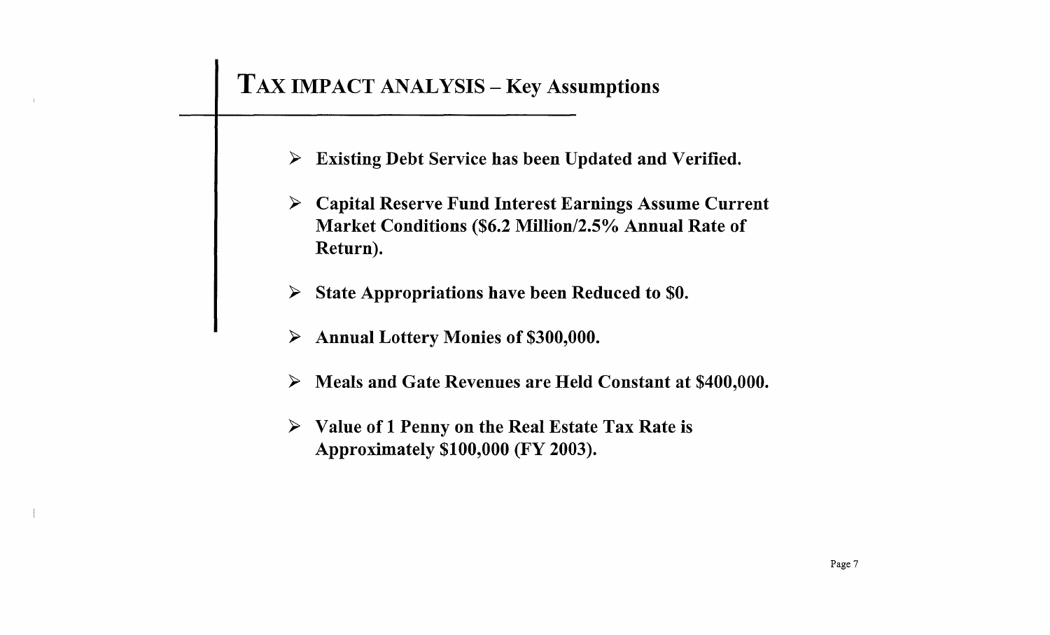# TAX IMPACT ANALYSIS - Key Assumptions

- $\triangleright$  Existing Debt Service has been Updated and Verified.
- <sup>~</sup>Capital Reserve Fund Interest Earnings Assume Current Market Conditions (\$6.2 MiIIion/2.5% Annual Rate of Return).
- State Appropriations have been Reduced to \$0.
- $\triangleright$  Annual Lottery Monies of \$300,000.
- $\triangleright$  Meals and Gate Revenues are Held Constant at \$400,000.
- $\triangleright$  Value of 1 Penny on the Real Estate Tax Rate is Approximately \$100,000 (FY 2003).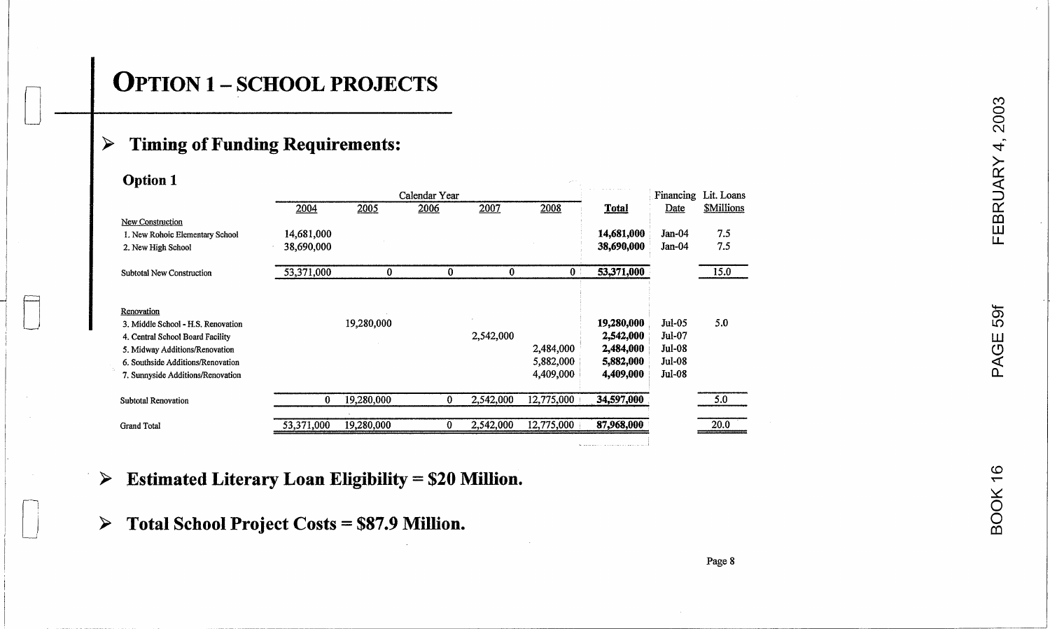## > Timing of Funding Requirements:

| <b>Option 1</b>    |                                                                        |            |            |               |           |                        |                              |                         |                      |  |  |
|--------------------|------------------------------------------------------------------------|------------|------------|---------------|-----------|------------------------|------------------------------|-------------------------|----------------------|--|--|
|                    |                                                                        |            |            | Calendar Year |           |                        | the contract of the contract |                         | Financing Lit. Loans |  |  |
|                    |                                                                        | 2004       | 2005       | 2006          | 2007      | 2008                   | <b>Total</b>                 | Date                    | <b>SMillions</b>     |  |  |
|                    | <b>New Construction</b>                                                |            |            |               |           |                        |                              |                         |                      |  |  |
|                    | 1. New Rohoic Elementary School                                        | 14,681,000 |            |               |           |                        | 14,681,000                   | $Jan-04$                | 7.5                  |  |  |
|                    | 2. New High School                                                     | 38,690,000 |            |               |           |                        | 38,690,000                   | $Jan-04$                | 7.5                  |  |  |
|                    | Subtotal New Construction                                              | 53,371,000 | $\Omega$   | $\bf{0}$      | $\bf{0}$  | 0 <sup>1</sup>         | 53,371,000                   |                         | 15.0                 |  |  |
| Renovation         |                                                                        |            |            |               |           |                        |                              |                         |                      |  |  |
|                    | 3. Middle School - H.S. Renovation                                     |            | 19,280,000 |               |           |                        | 19,280,000                   | Jul-05                  | 5.0                  |  |  |
|                    | 4. Central School Board Facility                                       |            |            |               | 2,542,000 |                        | 2,542,000                    | <b>Jul-07</b>           |                      |  |  |
|                    | 5. Midway Additions/Renovation                                         |            |            |               |           | 2,484,000<br>5,882,000 | 2,484,000<br>5,882,000       | <b>Jul-08</b><br>Jul-08 |                      |  |  |
|                    | 6. Southside Additions/Renovation<br>7. Sunnyside Additions/Renovation |            |            |               |           | 4,409,000              | 4,409,000                    | <b>Jul-08</b>           |                      |  |  |
|                    | <b>Subtotal Renovation</b>                                             | 0          | 19,280,000 | $\mathbf{0}$  | 2,542,000 | 12,775,000             | 34,597,000                   |                         | 5.0                  |  |  |
| <b>Grand Total</b> |                                                                        | 53,371,000 | 19,280,000 | $\bf{0}$      | 2,542,000 | 12,775,000             | 87,968,000                   |                         | 20.0                 |  |  |

> **Estimated Literary Loan Eligibility = \$20 Million.** co

 $\triangleright$  Total School Project Costs = \$87.9 Million.  $\triangleright$  **Total School Project Costs = \$87.9 Million.**  $\overline{Q}$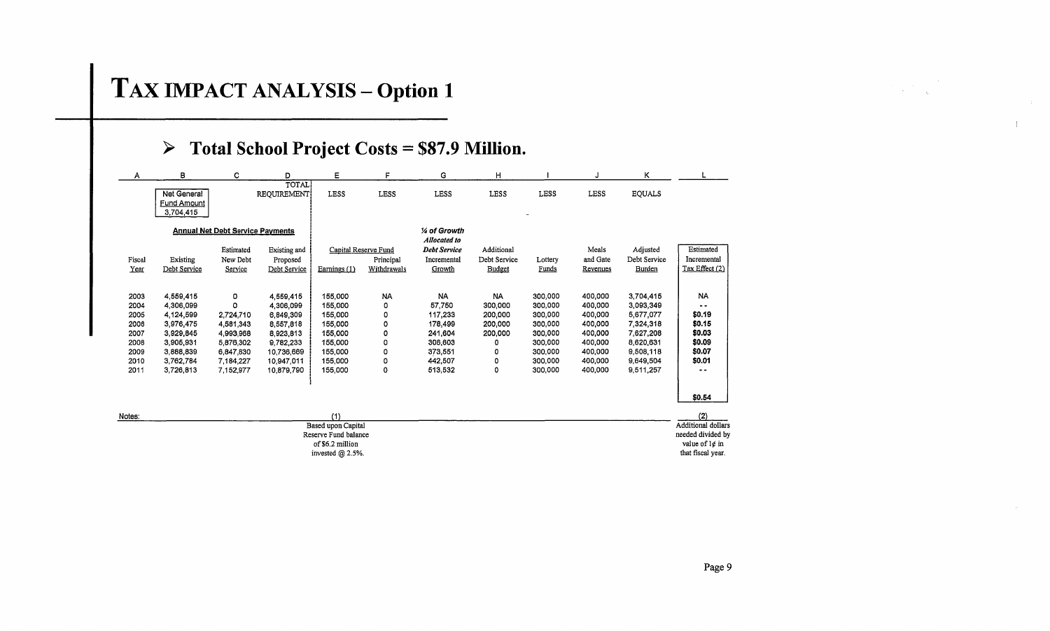# TAX IMPACT ANALYSIS - Option 1

## <sup>~</sup>**Total School Project Costs \$87.9 Million.**

| A                                                                    | B                                                                                                                 | c                                                                                                 | D                                                                                                                    | E                                                                                               | F                                                 | G                                                                                                | Η                                                                         |                                                                                                 |                                                                                                 | κ                                                                                                                 |                                                                                         |
|----------------------------------------------------------------------|-------------------------------------------------------------------------------------------------------------------|---------------------------------------------------------------------------------------------------|----------------------------------------------------------------------------------------------------------------------|-------------------------------------------------------------------------------------------------|---------------------------------------------------|--------------------------------------------------------------------------------------------------|---------------------------------------------------------------------------|-------------------------------------------------------------------------------------------------|-------------------------------------------------------------------------------------------------|-------------------------------------------------------------------------------------------------------------------|-----------------------------------------------------------------------------------------|
|                                                                      | Net General<br><b>Fund Amount</b><br>3,704,415                                                                    |                                                                                                   | TOTAL<br>REQUIREMENT                                                                                                 | <b>LESS</b>                                                                                     | <b>LESS</b>                                       | <b>LESS</b>                                                                                      | <b>LESS</b>                                                               | <b>LESS</b>                                                                                     | <b>LESS</b>                                                                                     | <b>EQUALS</b>                                                                                                     |                                                                                         |
|                                                                      |                                                                                                                   | <b>Annual Net Debt Service Payments</b>                                                           |                                                                                                                      |                                                                                                 |                                                   | 1⁄4 of Growth                                                                                    |                                                                           |                                                                                                 |                                                                                                 |                                                                                                                   |                                                                                         |
| Fiscal<br>Year                                                       | Existing<br>Debt Service                                                                                          | Estimated<br>New Debt<br>Service                                                                  | Existing and<br>Proposed<br>Debt Service                                                                             | Capital Reserve Fund<br>Earnings $(1)$                                                          | Principal<br>Withdrawals                          | Allocated to<br><b>Debt Service</b><br>Incremental<br>Growth                                     | Additional<br>Debt Service<br>Budget                                      | Lottery<br>Funds                                                                                | Meals<br>and Gate<br>Revenues                                                                   | Adjusted<br>Debt Service<br>Burden                                                                                | Estimated<br>Incremental<br>Tax Effect (2)                                              |
| 2003<br>2004<br>2005<br>2006<br>2007<br>2008<br>2009<br>2010<br>2011 | 4,559 415<br>4,306,099<br>4.124.599<br>3,976,475<br>3.929.845<br>3,905,931<br>3,888,839<br>3,762,784<br>3,726,813 | 0<br>O<br>2,724,710<br>4,581,343<br>4,993,968<br>5,876,302<br>6,847,830<br>7.184.227<br>7,152,977 | 4,559,415<br>4,306,099<br>6,849,309<br>8,557,818<br>8,923,813<br>9,782,233<br>10,736,669<br>10.947.011<br>10.879,790 | 155,000<br>155,000<br>155,000<br>155,000<br>155 000<br>155,000<br>155,000<br>155,000<br>155,000 | <b>NA</b><br>٥<br>0<br>0<br>0<br>0<br>0<br>0<br>0 | <b>NA</b><br>57,750<br>117,233<br>178,499<br>241,604<br>306,603<br>373,551<br>442,507<br>513,532 | <b>NA</b><br>300,000<br>200 000<br>200,000<br>200,000<br>ο<br>0<br>٥<br>0 | 300,000<br>300,000<br>300,000<br>300,000<br>300,000<br>300,000<br>300,000<br>300,000<br>300,000 | 400,000<br>400,000<br>400,000<br>400,000<br>400.000<br>400,000<br>400,000<br>400,000<br>400,000 | 3,704,415<br>3,093,349<br>5,677,077<br>7.324,318<br>7.627.208<br>8,620,631<br>9,508,118<br>9,649,504<br>9,511,257 | <b>NA</b><br><br>\$0.19<br>\$0.15<br>\$0.03<br>\$0.09<br>\$0.07<br>\$0.01<br>- -        |
| Notes:                                                               |                                                                                                                   |                                                                                                   |                                                                                                                      | (1)                                                                                             |                                                   |                                                                                                  |                                                                           |                                                                                                 |                                                                                                 |                                                                                                                   | \$0.54<br>(2)                                                                           |
|                                                                      |                                                                                                                   |                                                                                                   |                                                                                                                      | Based upon Capital<br>Reserve Fund balance<br>of \$6.2 million<br>invested $@$ 2.5%.            |                                                   |                                                                                                  |                                                                           |                                                                                                 |                                                                                                 |                                                                                                                   | <b>Additional dollars</b><br>needed divided by<br>value of $1¢$ in<br>that fiscal year. |

 $\sim 10^7$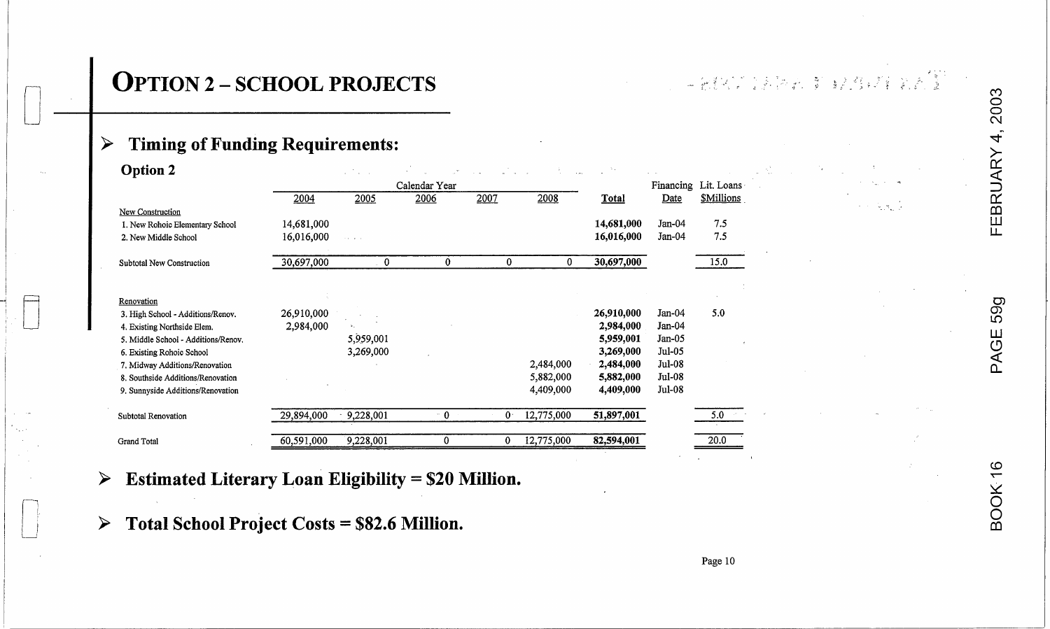<sup>t</sup>'.''' ~~ ,/ *• • ,,1* " .• ,-:; <sup>~</sup> - ), ':, - ? . .:2-: ("t')

=i

| <b>Option 2</b>                                             |            | antico a  |                       |              |            |                        |                    |                                           |  |                                            |
|-------------------------------------------------------------|------------|-----------|-----------------------|--------------|------------|------------------------|--------------------|-------------------------------------------|--|--------------------------------------------|
|                                                             | 2004       | 2005      | Calendar Year<br>2006 | 2007         | 2008       | <b>Total</b>           | Date               | Financing Lit. Loans<br><b>\$Millions</b> |  |                                            |
| New Construction                                            |            |           |                       |              |            |                        |                    |                                           |  | $\mathcal{F} \in \mathcal{R}(\mathcal{A})$ |
| 1. New Rohoic Elementary School                             | 14,681,000 |           |                       |              |            | 14,681,000             | $Jan-04$           | 7.5                                       |  |                                            |
| 2. New Middle School                                        | 16,016,000 |           |                       |              |            | 16,016,000             | $Jan-04$           | 7.5                                       |  |                                            |
| Subtotal New Construction                                   | 30,697,000 | $\bf{0}$  | $\mathbf{0}$          | $\mathbf{0}$ | $\Omega$   | 30,697,000             |                    | 15.0                                      |  |                                            |
|                                                             |            |           |                       |              |            |                        |                    |                                           |  |                                            |
| Renovation                                                  |            |           |                       |              |            |                        |                    |                                           |  |                                            |
| 3. High School - Additions/Renov.                           | 26,910,000 |           |                       |              |            | 26,910,000             | $Jan-04$           | 5.0                                       |  |                                            |
| 4. Existing Northside Elem.                                 | 2,984,000  |           |                       |              |            | 2,984,000              | $Jan-04$           |                                           |  |                                            |
| 5. Middle School - Additions/Renov.                         |            | 5,959,001 |                       |              |            | 5,959,001              | $Jan-05$           |                                           |  |                                            |
| 6. Existing Rohoic School<br>7. Midway Additions/Renovation |            | 3,269,000 |                       |              | 2,484,000  | 3,269,000<br>2,484,000 | Jul-05<br>$Jul-08$ |                                           |  |                                            |
| 8. Southside Additions/Renovation                           |            |           |                       |              | 5,882,000  | 5,882,000              | Jul-08             |                                           |  |                                            |
| 9. Sunnyside Additions/Renovation                           |            |           |                       |              | 4,409,000  | 4,409,000              | Jul-08             |                                           |  |                                            |
|                                                             |            |           |                       |              |            |                        |                    |                                           |  |                                            |
| Subtotal Renovation                                         | 29,894,000 | 9,228,001 | $\sqrt{0}$            | $0 -$        | 12,775,000 | 51,897,001             |                    | $5.0$ $\rightarrow$                       |  |                                            |

- <sup>~</sup>**Estimated Literary Loan Eligibility = \$20 Million.** <sup>~</sup>
- [J <sup>0</sup> ~ **Total School Project Costs = \$82.6 Million.** <sup>0</sup>

Page 10

 $\subseteq$  $\subseteq$  $\mathsf{\alpha}$ ~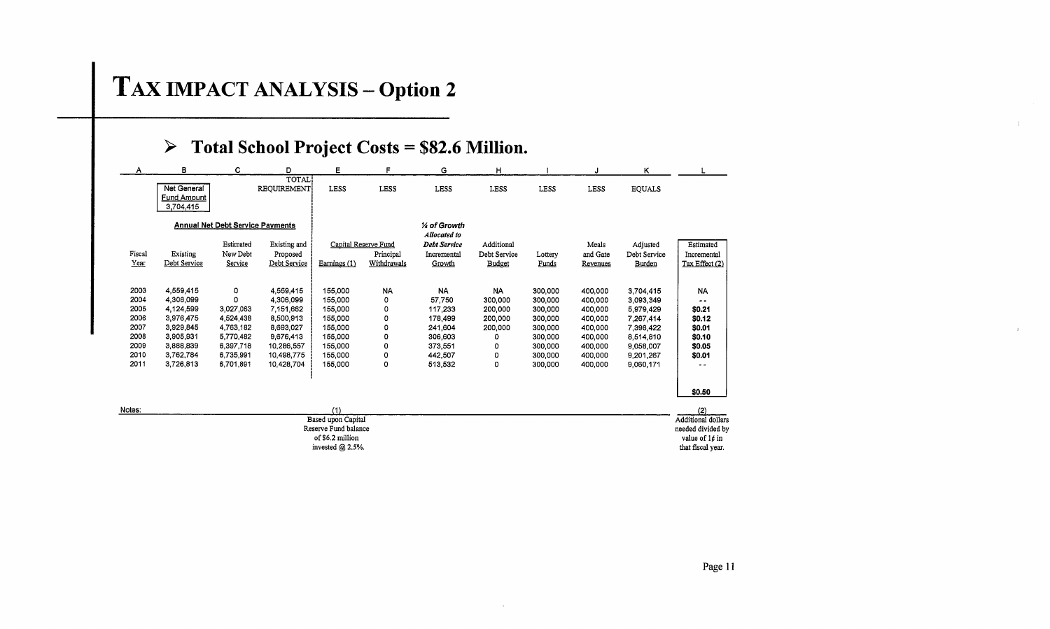# TAX IMPACT ANALYSIS - Option 2

## <sup>~</sup>**Total School Project Costs \$82.6 Million.**

| A              | в                                             | c                                       | D                                        | E                                                                     | F                                                | G                                                            | н                                    |                    |                               | κ                                  |                                                                         |
|----------------|-----------------------------------------------|-----------------------------------------|------------------------------------------|-----------------------------------------------------------------------|--------------------------------------------------|--------------------------------------------------------------|--------------------------------------|--------------------|-------------------------------|------------------------------------|-------------------------------------------------------------------------|
|                | Net General<br><b>Fund Amount</b><br>3704,415 |                                         | TOTAL<br>REQUIREMENT                     | <b>LESS</b>                                                           | LESS                                             | LESS                                                         | LESS                                 | <b>LESS</b>        | <b>LESS</b>                   | <b>EQUALS</b>                      |                                                                         |
|                |                                               | <b>Annual Net Debt Service Payments</b> |                                          |                                                                       |                                                  | 1⁄4 of Growth                                                |                                      |                    |                               |                                    |                                                                         |
| Fiscal<br>Year | Existing<br>Debt Service                      | Estimated<br>New Debt<br>Service        | Existing and<br>Proposed<br>Debt Service | Earnings (1)                                                          | Capital Reserve Fund<br>Principal<br>Withdrawals | Allocated to<br><b>Debt Service</b><br>Incremental<br>Growth | Additional<br>Debt Service<br>Budget | Lottery<br>Funds   | Meals<br>and Gate<br>Revenues | Adjusted<br>Debt Service<br>Burden | Estimated<br>Incremental<br>Tax Effect (2)                              |
| 2003<br>2004   | 4,559,415<br>4,306,099                        | ٥<br>$\Omega$                           | 4,559,415<br>4,306,099                   | 155,000<br>155,000                                                    | <b>NA</b><br>0                                   | <b>NA</b><br>57,750                                          | <b>NA</b><br>300,000                 | 300,000<br>300,000 | 400,000<br>400,000            | 3.704.415<br>3,093,349             | <b>NA</b><br>$\sim$ $-$                                                 |
| 2005<br>2006   | 4,124,599<br>3,976,475                        | 3,027,063<br>4.524,438                  | 7,151,662<br>8,500,913                   | 155,000<br>155.000                                                    | 0<br>0                                           | 117,233<br>178,499                                           | 200,000<br>200,000                   | 300,000<br>300,000 | 400,000<br>400,000            | 5,979,429<br>7,267,414             | \$0.21<br>\$0.12                                                        |
| 2007<br>2008   | 3,929,845<br>3,905,931                        | 4.763.182<br>5,770,482                  | 8,693,027<br>9,676,413                   | 155.000<br>155,000                                                    | 0<br>0                                           | 241,604<br>306,603                                           | 200,000<br>0                         | 300,000<br>300,000 | 400.000<br>400,000            | 7,396,422<br>8,514,810             | \$0.01<br>\$0.10                                                        |
| 2009<br>2010   | 3,888,839<br>3.762.784                        | 6,397,718<br>6,735,991                  | 10,286,557<br>10,498,775                 | 155,000<br>155,000                                                    | 0<br>0                                           | 373,551<br>442,507                                           | ٥<br>0                               | 300,000<br>300,000 | 400,000<br>400.000            | 9,058,007<br>9,201,267             | \$0.05<br>\$0.01                                                        |
| 2011           | 3.726,813                                     | 6,701,891                               | 10,428,704                               | 155,000                                                               | 0                                                | 513,532                                                      | 0                                    | 300,000            | 400,000                       | 9,060,171                          |                                                                         |
|                |                                               |                                         |                                          |                                                                       |                                                  |                                                              |                                      |                    |                               |                                    | \$0.50                                                                  |
| Notes:         |                                               |                                         |                                          | (1)<br>Based upon Capital<br>Reserve Fund balance<br>of \$6.2 million |                                                  |                                                              |                                      |                    |                               |                                    | (2)<br><b>Additional dollars</b><br>needed divided by<br>value of 1¢ in |

invested @ 2.5%. that fiscal year. the state of the state of the state of the state of the state of the state of the state of the state of the state of the state of the state of the state of the state of the state of the s

value of  $1¢$  in

 $\overline{1}$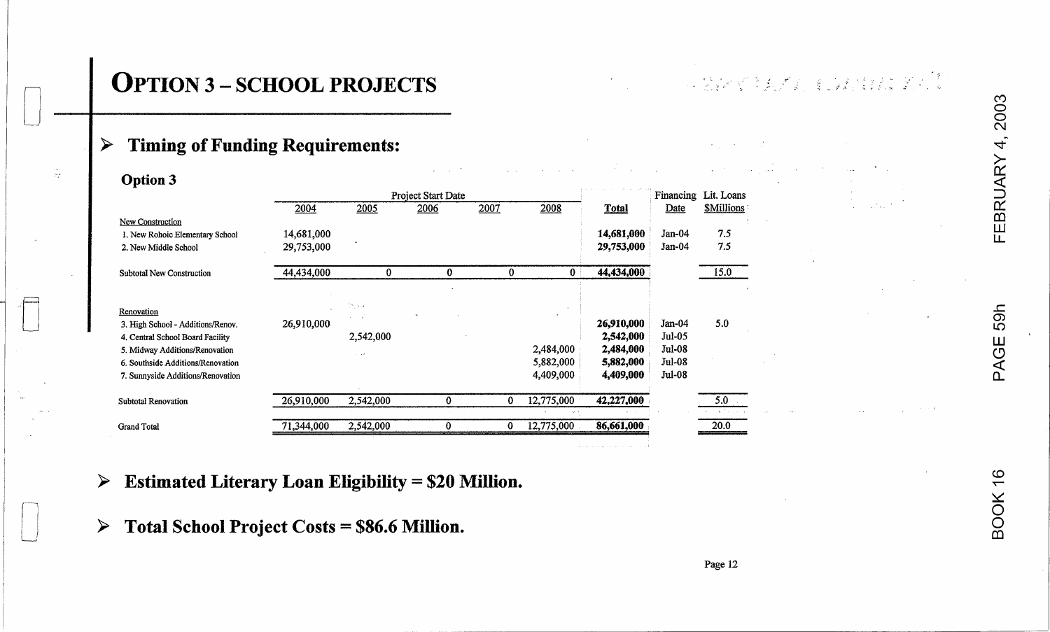$\sim$ 

 $\sim 10^{11}$ 

and the state of the state of

#### **Timing of Funding Requirements:** ➤

÷.

| <b>Option 3</b>                   |            |           |                    |      |                        |              |               |                  |
|-----------------------------------|------------|-----------|--------------------|------|------------------------|--------------|---------------|------------------|
|                                   |            |           | Project Start Date |      |                        |              | Financing     | Lit. Loans       |
|                                   | 2004       | 2005      | 2006               | 2007 | 2008                   | <b>Total</b> | Date          | <b>SMillions</b> |
| <b>New Construction</b>           |            |           |                    |      |                        |              |               |                  |
| 1. New Rohoic Elementary School   | 14,681,000 |           |                    |      |                        | 14,681,000   | Jan-04        | 7.5              |
| 2. New Middle School              | 29,753,000 |           |                    |      |                        | 29,753,000   | Jan-04        | 7.5              |
| <b>Subtotal New Construction</b>  | 44,434,000 | 0         | 0                  | 0    | 0                      | 44,434,000   |               | 15.0             |
|                                   |            |           |                    |      |                        |              |               |                  |
| Renovation                        |            | in, kv    |                    |      |                        |              |               |                  |
| 3. High School - Additions/Renov. | 26,910,000 |           |                    |      |                        | 26,910,000   | Jan-04        | 5.0              |
| 4. Central School Board Facility  |            | 2,542,000 |                    |      |                        | 2,542,000    | Jul-05        |                  |
| 5. Midway Additions/Renovation    |            |           |                    |      | 2,484,000              | 2,484,000    | Jul-08        |                  |
| 6. Southside Additions/Renovation |            |           |                    |      | 5,882,000              | 5,882,000    | <b>Jul-08</b> |                  |
| 7. Sunnyside Additions/Renovation |            |           |                    |      | 4,409,000              | 4,409,000    | <b>Jul-08</b> |                  |
| <b>Subtotal Renovation</b>        | 26,910,000 | 2,542,000 | $\bf{0}$           | 0    | 12,775,000             | 42,227,000   |               | 5.0              |
| <b>Grand Total</b>                | 71,344,000 | 2,542,000 | 0                  | 0    | $45 - 5$<br>12,775,000 | 86,661,000   |               | 20.0             |
|                                   |            |           |                    |      |                        |              |               |                  |

## $\triangleright$  Estimated Literary Loan Eligibility = \$20 Million.

 $\triangleright$  Total School Project Costs = \$86.6 Million.

**EBRUARY 4** 

, 2003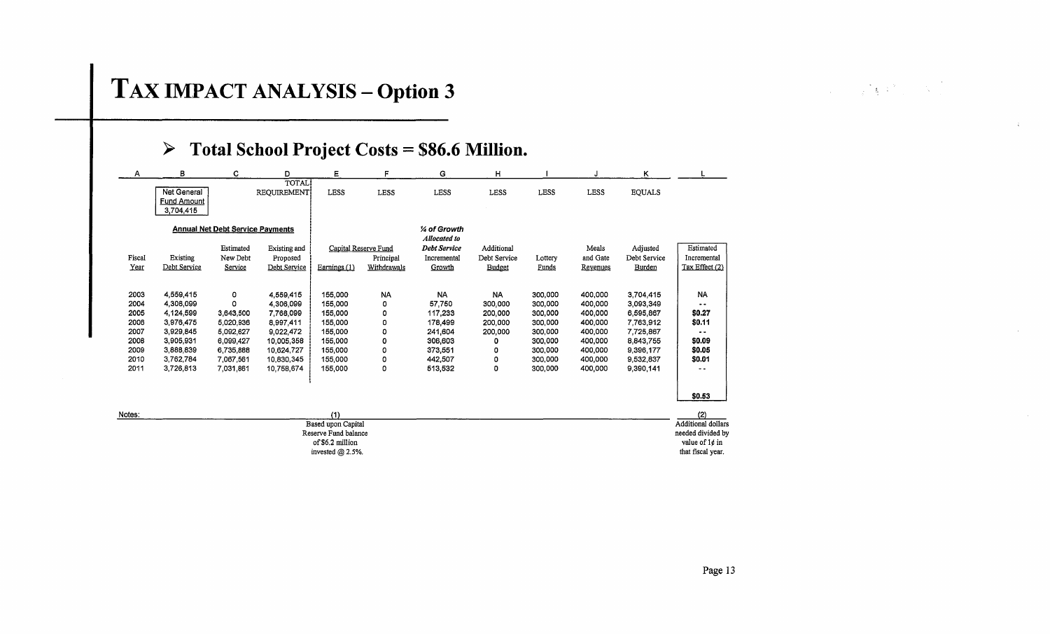# TAX IMPACT ANALYSIS - Option 3

## $\triangleright$  Total School Project Costs = \$86.6 Million.

of \$6.2 million

invested  $@$  2.5%.

| А      | в                                              | c                                       | D                           | E                    | F                    | G                             | н             |             |             | κ             |                    |
|--------|------------------------------------------------|-----------------------------------------|-----------------------------|----------------------|----------------------|-------------------------------|---------------|-------------|-------------|---------------|--------------------|
|        | Net General<br><b>Fund Amount</b><br>3,704,415 |                                         | <b>TOTAL</b><br>REQUIREMENT | <b>LESS</b>          | LESS                 | LESS                          | <b>LESS</b>   | <b>LESS</b> | <b>LESS</b> | <b>EQUALS</b> |                    |
|        |                                                | <b>Annual Net Debt Service Payments</b> |                             |                      |                      | 1⁄4 of Growth<br>Allocated to |               |             |             |               |                    |
|        |                                                | Estimated                               | Existing and                |                      | Capital Reserve Fund | <b>Debt Service</b>           | Additional    |             | Meals       | Adjusted      | Estimated          |
| Fiscal | Existing                                       | New Debt                                | Proposed                    |                      | Principal            | Incremental                   | Debt Service  | Lottery     | and Gate    | Debt Service  | Incremental        |
| Year   | Debt Service                                   | Service                                 | Debt Service                | Earnings (1)         | Withdrawals          | Growth                        | <b>Budget</b> | Funds       | Revenues    | Burden        | Tax Effect (2)     |
|        |                                                |                                         |                             |                      |                      |                               |               |             |             |               |                    |
| 2003   | 4,559,415                                      | ٥                                       | 4,559,415                   | 155,000              | <b>NA</b>            | <b>NA</b>                     | <b>NA</b>     | 300,000     | 400,000     | 3,704,415     | <b>NA</b>          |
| 2004   | 4,306,099                                      | 0                                       | 4,306,099                   | 155,000              | 0                    | 57,750                        | 300,000       | 300,000     | 400,000     | 3,093,349     |                    |
| 2005   | 4,124,599                                      | 3,643,500                               | 7,768,099                   | 155,000              | 0                    | 117,233                       | 200,000       | 300,000     | 400,000     | 6,595,867     | \$0.27             |
| 2006   | 3.976.475                                      | 5,020,936                               | 8,997,411                   | 155,000              | 0                    | 178,499                       | 200,000       | 300,000     | 400,000     | 7,763,912     | \$0.11             |
| 2007   | 3,929,845                                      | 5.092.627                               | 9.022 472                   | 155,000              | ٥                    | 241,604                       | 200,000       | 300,000     | 400,000     | 7,725,867     |                    |
| 2008   | 3,905,931                                      | 6.099.427                               | 10,005,358                  | 155,000              | 0                    | 306,603                       | 0             | 300,000     | 400,000     | 8,843,755     | \$0.09             |
| 2009   | 3,888,839                                      | 6.735,888                               | 10.624,727                  | 155,000              | 0                    | 373,551                       | ٥             | 300,000     | 400,000     | 9,396,177     | \$0.05             |
| 2010   | 3,762,784                                      | 7.067,561                               | 10,830,345                  | 155,000              | 0                    | 442,507                       | ٥             | 300,000     | 400,000     | 9,532,837     | \$0.01             |
| 2011   | 3,726,813                                      | 7.031.861                               | 10,758,674                  | 155,000              | 0                    | 513,532                       | 0             | 300,000     | 400,000     | 9,390,141     | - -                |
|        |                                                |                                         |                             |                      |                      |                               |               |             |             |               |                    |
|        |                                                |                                         |                             |                      |                      |                               |               |             |             |               | \$0.53             |
| Notes: |                                                |                                         |                             | (1)                  |                      |                               |               |             |             |               | (2)                |
|        |                                                |                                         |                             | Based upon Capital   |                      |                               |               |             |             |               | Additional dollars |
|        |                                                |                                         |                             | Reserve Fund balance |                      |                               |               |             |             |               | needed divided by  |

Page 13

value of 1¢ in that fiscal year.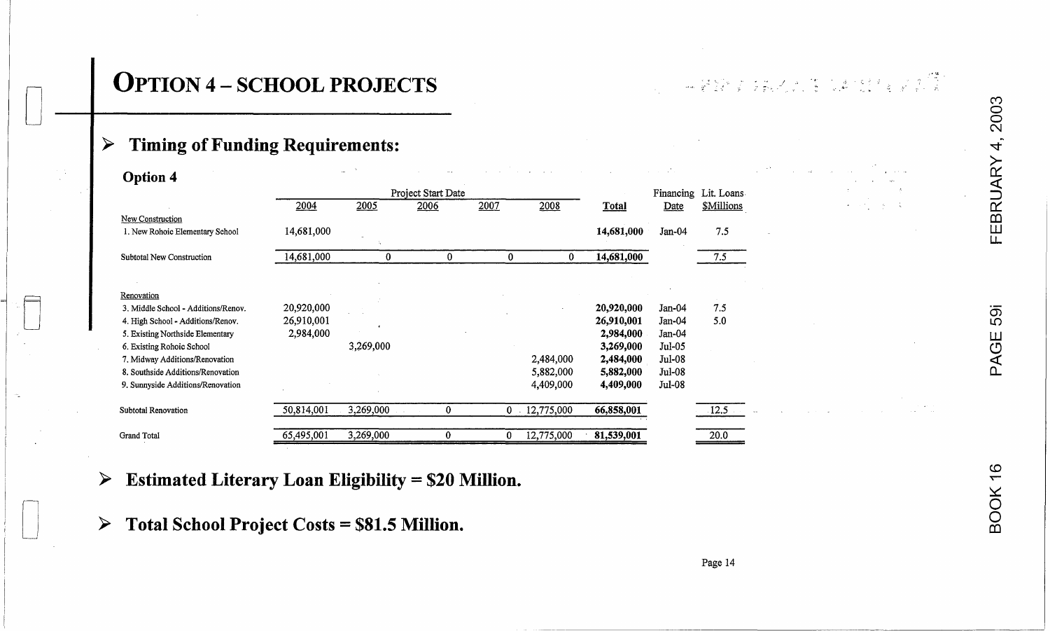# **OPTION 4 - SCHOOL PROJECTS**

 $\mathbb{R}^n$  ,  $\mathbb{R}^n$  ,  $\mathbb{R}^n$  ,  $\mathbb{R}^n$  ,  $\mathbb{R}^n$  ,  $\mathbb{R}^n$  ,  $\mathbb{R}^n$ 

## ~ **Timing** of Funding **Requirements:** <sup>~</sup>

[J **<sup>I</sup>**

|          | <b>Option 4</b>                     |            | $\sim$    |                    |      |                |              |          |                      | and the first                                              |                |
|----------|-------------------------------------|------------|-----------|--------------------|------|----------------|--------------|----------|----------------------|------------------------------------------------------------|----------------|
|          |                                     |            |           | Project Start Date |      |                |              |          | Financing Lit. Loans |                                                            |                |
|          |                                     | 2004       | 2005      | 2006               | 2007 | 2008           | <b>Total</b> | Date     | <b>\$Millions</b>    | $\sim 1$<br>$\Delta \sim 1000$ M $_\odot$<br>$\frac{1}{2}$ |                |
|          | New Construction                    |            |           |                    |      |                |              |          |                      |                                                            | EB             |
|          | 1. New Rohoic Elementary School     | 14,681,000 |           |                    |      |                | 14,681,000   | $Jan-04$ | 7.5                  |                                                            | LЕ             |
|          | Subtotal New Construction           | 14,681,000 | $\bf{0}$  | 0                  | 0    | $\Omega$       | 14,681,000   |          | 7.5                  |                                                            |                |
|          |                                     |            |           |                    |      |                |              |          |                      |                                                            |                |
|          | Renovation                          |            |           |                    |      |                |              |          |                      |                                                            |                |
| $\equiv$ | 3. Middle School - Additions/Renov. | 20,920,000 |           |                    |      |                | 20,920,000   | Jan-04   | 7.5                  |                                                            |                |
|          | 4. High School - Additions/Renov.   | 26,910,001 |           |                    |      |                | 26,910,001   | $Jan-04$ | 5.0                  |                                                            | 59             |
|          | 5. Existing Northside Elementary    | 2,984,000  |           |                    |      |                | 2,984,000    | $Jan-04$ |                      |                                                            |                |
|          | 6. Existing Rohoic School           |            | 3,269,000 |                    |      |                | 3,269,000    | $Jul-05$ |                      |                                                            | $\overline{G}$ |
|          | 7. Midway Additions/Renovation      |            |           |                    |      | 2,484,000      | 2,484,000    | $Jul-08$ |                      |                                                            |                |
|          | 8. Southside Additions/Renovation   |            |           |                    |      | 5,882,000      | 5,882,000    | Jul-08   |                      |                                                            |                |
|          | 9. Sunnyside Additions/Renovation   |            |           |                    |      | 4,409,000      | 4,409,000    | Jul-08   |                      |                                                            |                |
|          | Subtotal Renovation                 | 50,814,001 | 3,269,000 |                    |      | $0$ 12,775,000 | 66,858,001   |          | $\overline{12.5}$    |                                                            |                |
|          | Grand Total                         | 65,495,001 | 3,269,000 |                    |      | 12,775,000     | 81,539,001   |          | 20.0                 |                                                            |                |
|          |                                     |            |           |                    |      |                |              |          |                      |                                                            |                |

## **Extimated Literary Loan Eligibility = \$20 Million.**  $\frac{60}{5}$

 $\triangleright$  Total School Project Costs = \$81.5 Million. <sup>~</sup>**Total School Project Costs = \$81.5 Million.** <sup>0</sup>

က $\,$ 

 $\bar{\bm{\times}}$  .

 $\Xi$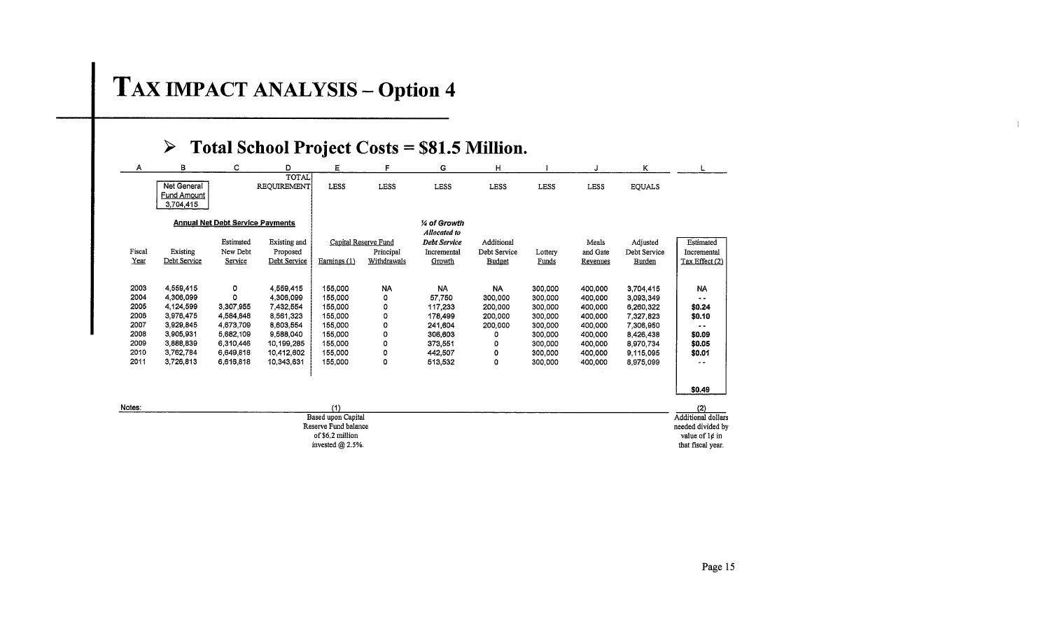# T **AX IMPACT ANALYSIS - Option 4**

| Α                                                                    | в                                                                                                                 | c                                                                                                 | D                                                                                                                    | E.                                                                                              | F                                                 | G                                                                                                | н                                                                         |                                                                                                 | J.                                                                                              | ĸ                                                                                                                 |                                                                                             |
|----------------------------------------------------------------------|-------------------------------------------------------------------------------------------------------------------|---------------------------------------------------------------------------------------------------|----------------------------------------------------------------------------------------------------------------------|-------------------------------------------------------------------------------------------------|---------------------------------------------------|--------------------------------------------------------------------------------------------------|---------------------------------------------------------------------------|-------------------------------------------------------------------------------------------------|-------------------------------------------------------------------------------------------------|-------------------------------------------------------------------------------------------------------------------|---------------------------------------------------------------------------------------------|
|                                                                      | Net General<br><b>Fund Amount</b><br>3,704,415                                                                    |                                                                                                   | TOTAL<br><b>REQUIREMENT</b>                                                                                          | LESS                                                                                            | <b>LESS</b>                                       | <b>LESS</b>                                                                                      | <b>LESS</b>                                                               | <b>LESS</b>                                                                                     | <b>LESS</b>                                                                                     | <b>EQUALS</b>                                                                                                     |                                                                                             |
|                                                                      |                                                                                                                   | <b>Annual Net Debt Service Payments</b>                                                           |                                                                                                                      |                                                                                                 |                                                   | 1⁄4 of Growth                                                                                    |                                                                           |                                                                                                 |                                                                                                 |                                                                                                                   |                                                                                             |
| Fiscal<br>Year                                                       | Existing<br>Debt Service                                                                                          | Estimated<br>New Debt<br>Service                                                                  | Existing and<br>Proposed<br>Debt Service                                                                             | Earnings $(1)$                                                                                  | Capital Reserve Fund<br>Principal<br>Withdrawals  | Allocated to<br><b>Debt Service</b><br>Incremental<br>Growth                                     | Additional<br>Debt Service<br><b>Budget</b>                               | Lottery<br>Funds                                                                                | Meals<br>and Gate<br>Revenues                                                                   | Adjusted<br>Debt Service<br>Burden                                                                                | Estimated<br>Incremental<br>Tax Effect (2)                                                  |
| 2003<br>2004<br>2005<br>2006<br>2007<br>2008<br>2009<br>2010<br>2011 | 4,559,415<br>4,306,099<br>4,124,599<br>3,976,475<br>3,929,845<br>3,905,931<br>3,888,839<br>3,762,784<br>3,726,813 | o<br>٥<br>3,307,955<br>4,584,848<br>4,673,709<br>5,682,109<br>6,310,446<br>6,649,818<br>6,616,818 | 4,559,415<br>4,306,099<br>7.432.554<br>8,561,323<br>8,603,554<br>9,588,040<br>10.199,285<br>10.412.602<br>10,343,631 | 155,000<br>155,000<br>155,000<br>155,000<br>155,000<br>155,000<br>155,000<br>155,000<br>155,000 | <b>NA</b><br>0<br>0<br>0<br>0<br>0<br>0<br>٥<br>0 | <b>NA</b><br>57,750<br>117,233<br>178,499<br>241,604<br>306,603<br>373,551<br>442,507<br>513,532 | <b>NA</b><br>300,000<br>200,000<br>200,000<br>200,000<br>٥<br>0<br>0<br>0 | 300,000<br>300,000<br>300,000<br>300,000<br>300,000<br>300,000<br>300,000<br>300,000<br>300,000 | 400,000<br>400,000<br>400,000<br>400,000<br>400,000<br>400,000<br>400,000<br>400,000<br>400,000 | 3,704.415<br>3,093,349<br>6,260,322<br>7,327,823<br>7,306,950<br>8,426,438<br>8.970.734<br>9,115,095<br>8,975,099 | <b>NA</b><br><br>\$0.24<br>\$0.10<br>$\overline{\phantom{a}}$<br>\$0.09<br>\$0.05<br>\$0.01 |
| Notes:                                                               |                                                                                                                   |                                                                                                   |                                                                                                                      | (1)<br>Based upon Capital<br>Reserve Fund balance<br>of \$6.2 million                           |                                                   |                                                                                                  |                                                                           |                                                                                                 |                                                                                                 |                                                                                                                   | \$0.49<br>(2)<br>Additional dollars<br>needed divided by<br>value of 1¢ in                  |

 $\pm$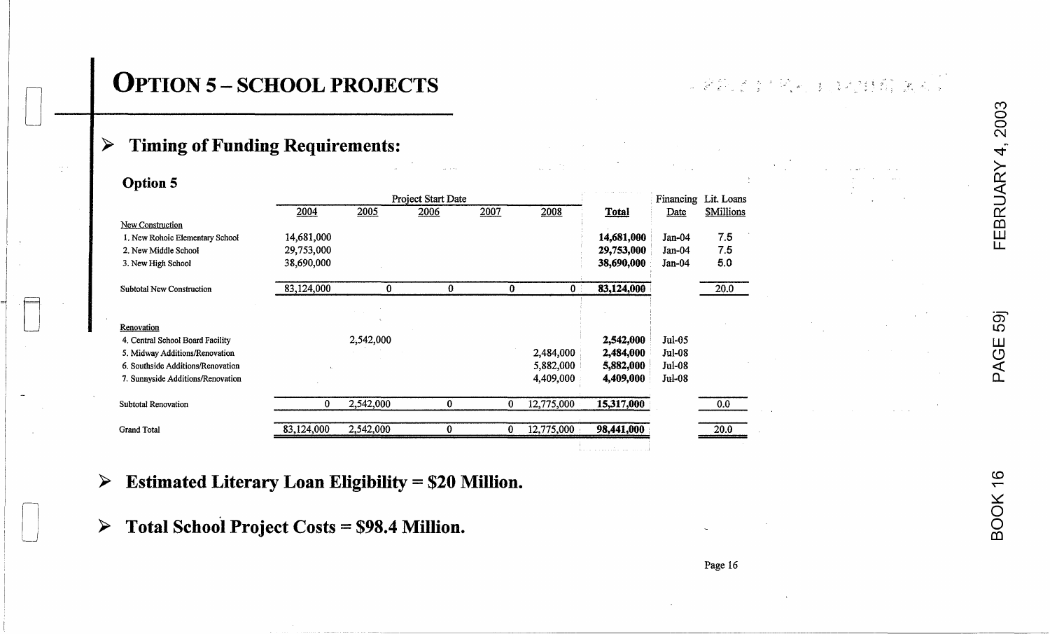# 0 **I OPTION 5 - SCHOOL PROJECTS**

 $\mathbb{R}^n$  ,  $\mathbb{R}^n$  ,  $\mathbb{R}^n$  ,  $\mathbb{R}^n$  ,  $\mathbb{R}^n$  ,  $\mathbb{R}^n$  ,  $\mathbb{R}^n$  ,  $\mathbb{R}^n$  ,  $\mathbb{R}^n$  ,  $\mathbb{R}^n$ 

## > **Timing** of Funding **Requirements:**

 $\mathbb{S}^{n+1}_\omega$ 

| <b>Option 5</b>                   |            |           |                    |          |              |              |               |                      |
|-----------------------------------|------------|-----------|--------------------|----------|--------------|--------------|---------------|----------------------|
|                                   |            |           | Project Start Date |          |              |              |               | Financing Lit. Loans |
|                                   | 2004       | 2005      | 2006               | 2007     | 2008         | <b>Total</b> | Date          | <b>SMillions</b>     |
| <b>New Construction</b>           |            |           |                    |          |              |              |               |                      |
| 1. New Rohoic Elementary School   | 14,681,000 |           |                    |          |              | 14,681,000   | Jan-04        | 7.5                  |
| 2. New Middle School              | 29,753,000 |           |                    |          |              | 29,753,000   | $Jan-04$      | 7.5                  |
| 3. New High School                | 38,690,000 |           |                    |          |              | 38,690,000   | $Jan-04$      | 5.0                  |
| <b>Subtotal New Construction</b>  | 83,124,000 | $\bf{0}$  | 0                  | $\bf{0}$ | $\mathbf{0}$ | 83,124,000   |               | 20.0                 |
|                                   |            |           |                    |          |              |              |               |                      |
| Renovation                        |            |           |                    |          |              |              |               |                      |
| 4. Central School Board Facility  |            | 2,542,000 |                    |          |              | 2,542,000    | Jul-05        |                      |
| 5. Midway Additions/Renovation    |            |           |                    |          | 2,484,000    | 2,484,000    | Jul-08        |                      |
| 6. Southside Additions/Renovation |            |           |                    |          | 5,882,000    | 5,882,000    | <b>Jul-08</b> |                      |
| 7. Sunnyside Additions/Renovation |            |           |                    |          | 4,409,000    | 4,409,000    | <b>Jul-08</b> |                      |
| <b>Subtotal Renovation</b>        | 0          | 2,542,000 | $\bf{0}$           | 0        | 12,775,000   | 15,317,000   |               | 0.0                  |
| <b>Grand Total</b>                | 83,124,000 | 2,542,000 | 0                  | 0        | 12,775,000   | 98,441,000   |               | 20.0                 |
|                                   |            |           |                    |          |              |              |               |                      |

က $\,$ 

 $\frac{6}{1}$ 

~ o  $\sum_{\infty}$ co

LL

## **> Estimated Literary Loan Eligibility = \$20 Million.**

o **<sup>&</sup>gt;Total School Project Costs = \$98.4 Million.** 

Page 16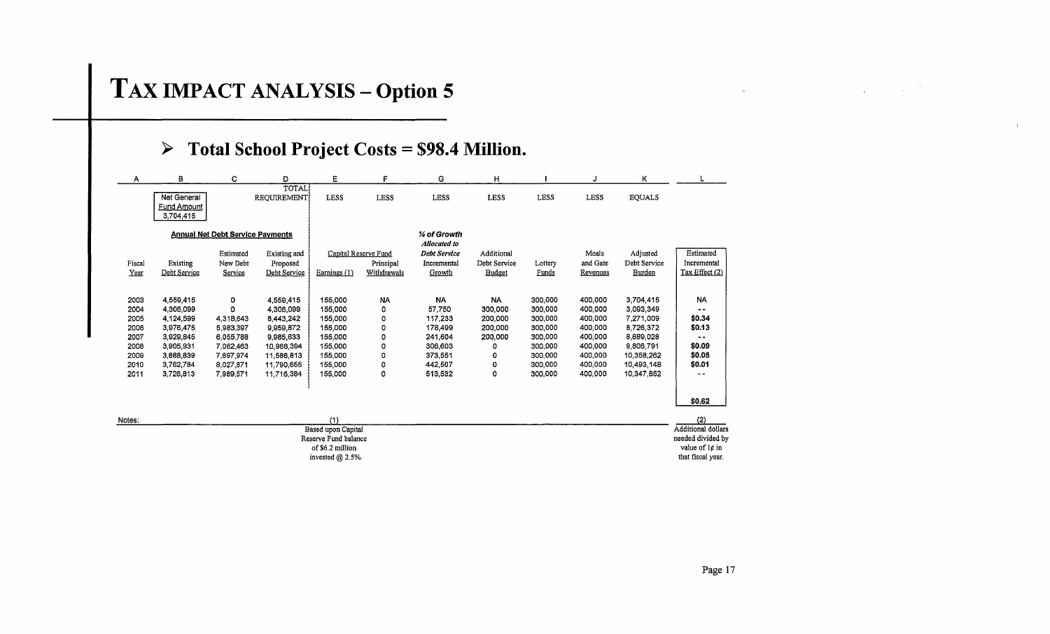# **TAX IMPACT ANALYSIS - Option 5**

## > Total School Project Costs = \$98.4 Million.

| Α                                                                    | В                                                                                                                 | c                                                                                                 | D                                                                                                                    | Е                                                                                               | F                                                       | G                                                                                          | н                                                                         |                                                                                                 |                                                                                                 | κ                                                                                                                    |                                                                                                 |
|----------------------------------------------------------------------|-------------------------------------------------------------------------------------------------------------------|---------------------------------------------------------------------------------------------------|----------------------------------------------------------------------------------------------------------------------|-------------------------------------------------------------------------------------------------|---------------------------------------------------------|--------------------------------------------------------------------------------------------|---------------------------------------------------------------------------|-------------------------------------------------------------------------------------------------|-------------------------------------------------------------------------------------------------|----------------------------------------------------------------------------------------------------------------------|-------------------------------------------------------------------------------------------------|
|                                                                      | Net General<br><b>Fund Amount</b><br>3,704.415                                                                    |                                                                                                   | <b>TOTAL</b><br>REQUIREMENT                                                                                          | <b>LESS</b>                                                                                     | <b>LESS</b>                                             | <b>LESS</b>                                                                                | <b>LESS</b>                                                               | <b>LESS</b>                                                                                     | <b>LESS</b>                                                                                     | <b>EQUALS</b>                                                                                                        |                                                                                                 |
|                                                                      |                                                                                                                   | <b>Annual Net Debt Service Payments</b>                                                           |                                                                                                                      |                                                                                                 |                                                         | 1⁄4 of Growth                                                                              |                                                                           |                                                                                                 |                                                                                                 |                                                                                                                      |                                                                                                 |
| Fiscal<br>Year                                                       | Existing<br>Debt Service                                                                                          | Estimated<br>New Debt<br>Service                                                                  | Existing and<br>Proposed<br>Debt Service                                                                             | Capital Reserve Fund<br>Earnings (1)                                                            | Principal<br>Withdrawals                                | Allocated to<br>Debt Service<br>Incremental<br>Growth                                      | Additional<br>Debt Service<br><b>Budget</b>                               | Lottery<br>Funds                                                                                | Meals<br>and Gate<br>Revenues                                                                   | Adjusted<br>Debt Service<br>Burden                                                                                   | Estimated<br>Incremental<br>Tax Effect (2)                                                      |
| 2003<br>2004<br>2005<br>2006<br>2007<br>2008<br>2009<br>2010<br>2011 | 4.559,415<br>4,306,099<br>4,124,599<br>3,976,475<br>3,929,845<br>3,905,931<br>3,888,839<br>3,762,784<br>3,726,813 | 0<br>O<br>4,318,643<br>5,983,397<br>6.055.788<br>7,062,463<br>7,697,974<br>8,027,871<br>7,989,571 | 4,559,415<br>4,306,099<br>8,443,242<br>9959,872<br>9,985,633<br>10,968,394<br>11,586,813<br>11,790,655<br>11,716,384 | 155,000<br>155,000<br>155,000<br>155,000<br>155,000<br>155,000<br>155,000<br>155.000<br>155,000 | <b>NA</b><br>0<br>0<br>0<br>0<br>$\circ$<br>0<br>0<br>0 | NA.<br>57,750<br>117,233<br>178,499<br>241,604<br>306,603<br>373,551<br>442,507<br>513,532 | <b>NA</b><br>300,000<br>200,000<br>200,000<br>200,000<br>0<br>٥<br>0<br>0 | 300,000<br>300,000<br>300,000<br>300,000<br>300,000<br>300,000<br>300,000<br>300,000<br>300,000 | 400,000<br>400,000<br>400,000<br>400,000<br>400,000<br>400,000<br>400,000<br>400,000<br>400,000 | 3,704,415<br>3,093,349<br>7,271,009<br>8,726,372<br>8,689,028<br>9.806.791<br>10 358,262<br>10,493,148<br>10,347,852 | <b>NA</b><br>. .<br>\$0.34<br>\$0.13<br><br>\$0.09<br>\$0.05<br>\$0.01<br>- -                   |
| Notes:                                                               |                                                                                                                   |                                                                                                   |                                                                                                                      | (1)<br>Based upon Capital<br>Reserve Fund balance<br>of \$6.2 million<br>invested $@$ 2.5%.     |                                                         |                                                                                            |                                                                           |                                                                                                 |                                                                                                 |                                                                                                                      | \$0.62<br>(2)<br>Additional dollars<br>needed divided by<br>value of 1¢ in<br>that fiscal year. |

 $\label{eq:2.1} \mathcal{L}(\mathbf{a}) = \mathcal{L}(\mathbf{a}) = \mathcal{L}(\mathbf{a}) = \mathcal{L}(\mathbf{a}) = \mathcal{L}(\mathbf{a}) = \mathcal{L}(\mathbf{a}) = \mathcal{L}(\mathbf{a})$ 

 $\mathcal{V}$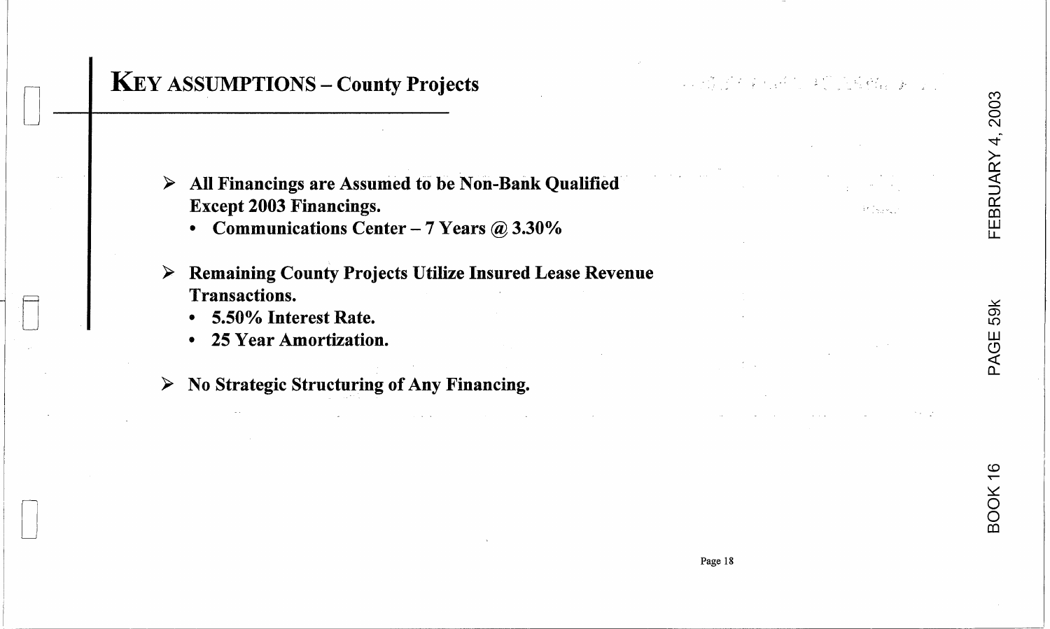# FEBRUARY 4, 2003

# **KEY ASSUMPTIONS - County Projects**

2. 法资本学行经营 未受的检验程序 医心

 $\mathbb{R}^{\mathfrak{p}}$  (  $\mathfrak{p}_{\mathfrak{p}}$  )  $\mathfrak{p}_{\mathfrak{p}}$  )

- > All Financings are Assumed to be Non-Bank Qualified **Except 2003 Financings.** 
	- Communications Center 7 Years  $@3.30\%$
- **Remaining County Projects Utilize Insured Lease Revenue** ➤ **Transactions.** 
	- 5.50% Interest Rate.  $\bullet$
	- 25 Year Amortization.  $\bullet$
- $\triangleright$  No Strategic Structuring of Any Financing.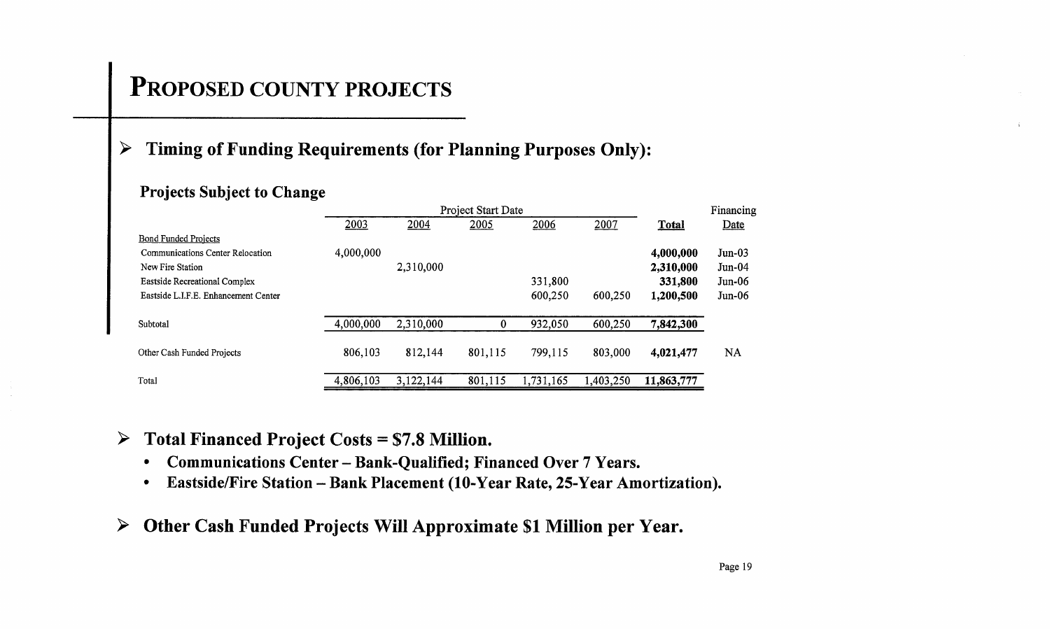# **PROPOSED COUNTY PROJECTS**

## **> Timing** of Funding **Requirements (for Planning Purposes Only):**

## **Projects Subject to Change**

|                                      |           |           | Financing |           |           |            |           |
|--------------------------------------|-----------|-----------|-----------|-----------|-----------|------------|-----------|
|                                      | 2003      | 2004      | 2005      | 2006      | 2007      | Total      | Date      |
| <b>Bond Funded Projects</b>          |           |           |           |           |           |            |           |
| Communications Center Relocation     | 4,000,000 |           |           |           |           | 4,000,000  | $Jun-03$  |
| New Fire Station                     |           | 2,310,000 |           |           |           | 2,310,000  | $Jun-04$  |
| Eastside Recreational Complex        |           |           |           | 331,800   |           | 331,800    | $Jun-06$  |
| Eastside L.I.F.E. Enhancement Center |           |           |           | 600,250   | 600,250   | 1,200,500  | Jun-06    |
| Subtotal                             | 4,000,000 | 2,310,000 | 0         | 932,050   | 600,250   | 7,842,300  |           |
| Other Cash Funded Projects           | 806,103   | 812,144   | 801,115   | 799,115   | 803,000   | 4,021,477  | <b>NA</b> |
| Total                                | 4,806,103 | 3,122,144 | 801,115   | 1,731,165 | 1,403,250 | 11,863,777 |           |

**> Total Financed Project Costs = \$7.8 Million.** 

- **Communications Center - Bank-Qualified; Financed Over 7 Years.**
- **EastsidelFire Station - Bank Placement (lO-Year Rate, 25-Year Amortization).**
- **> Other Cash Funded Projects Will Approximate \$1 Million per Year.**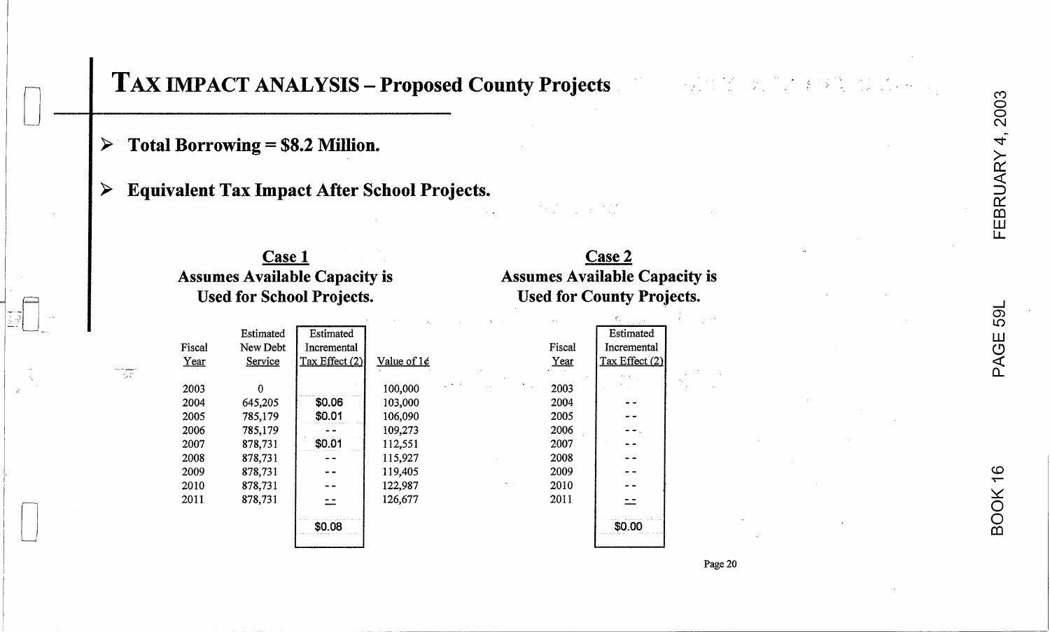BOOK 16

# TAX IMPACT ANALYSIS - Proposed County Projects

Total Borrowing = \$8.2 Million. ➤

 $\mathcal{P}_{\mathcal{A},\mathcal{B}}$ 

**Equivalent Tax Impact After School Projects.** ➤

#### **Case 1 Case 2 Assumes Available Capacity is Assumes Available Capacity is Used for School Projects. Used for County Projects.** Estimated Estimated New Debt Incremental Fiscal

Value of  $1¢$ 

100,000 103,000 106,090 109,273 112,551 115,927 119,405

122,987 126,677

| Year | Service | Tax Effect (2) |
|------|---------|----------------|
| 2003 | 0       |                |
|      |         |                |
| 2004 | 645,205 | \$0.06         |
| 2005 | 785,179 | \$0.01         |
| 2006 | 785,179 |                |
| 2007 | 878,731 | \$0.01         |
| 2008 | 878,731 |                |
| 2009 | 878,731 |                |
| 2010 | 878,731 |                |
| 2011 | 878,731 |                |
|      |         | \$0.08         |

|        | Estimated      |
|--------|----------------|
| Fiscal | Incremental    |
| Year   | Tax Effect (2) |
|        |                |
| 2003   |                |
| 2004   |                |
| 2005   |                |
| 2006   |                |
| 2007   |                |
| 2008   |                |
| 2009   |                |
| 2010   |                |
| 2011   |                |
|        | \$0.00         |
|        |                |

Page 20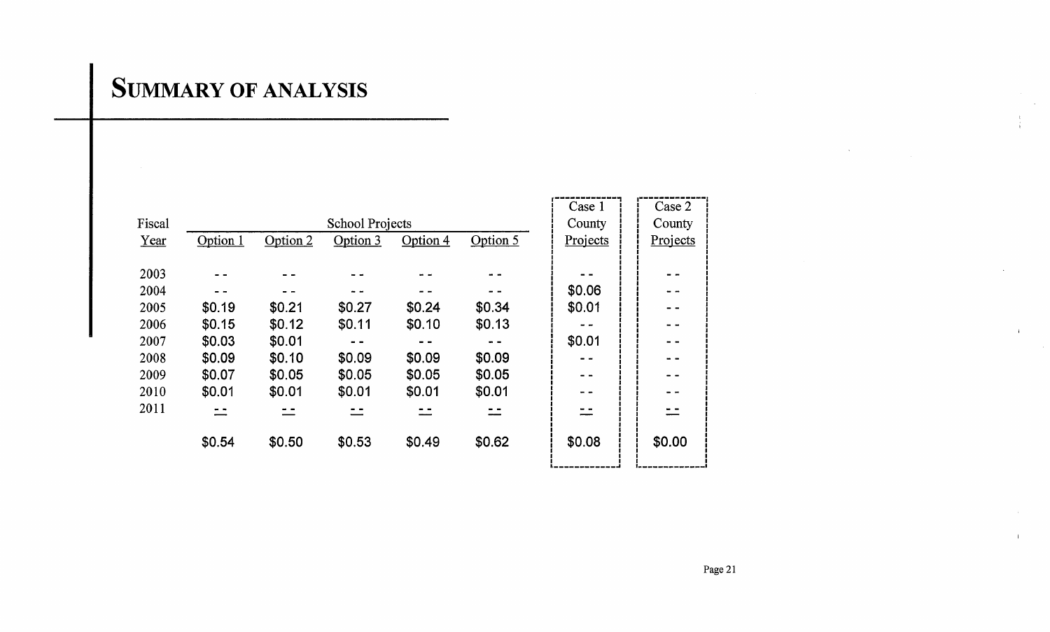# **SUMMARY OF ANALYSIS**

|        |          |          |          |          |          | Case 1   | Case 2   |
|--------|----------|----------|----------|----------|----------|----------|----------|
| Fiscal |          |          |          | County   | County   |          |          |
| Year   | Option 1 | Option 2 | Option 3 | Option 4 | Option 5 | Projects | Projects |
|        |          |          |          |          |          |          |          |
| 2003   |          |          |          |          |          |          |          |
| 2004   |          |          |          |          |          | \$0.06   | - -      |
| 2005   | \$0.19   | \$0.21   | \$0.27   | \$0.24   | \$0.34   | \$0.01   | $ -$     |
| 2006   | \$0.15   | \$0.12   | \$0.11   | \$0.10   | \$0.13   |          |          |
| 2007   | \$0.03   | \$0.01   |          |          |          | \$0.01   | - -      |
| 2008   | \$0.09   | \$0.10   | \$0.09   | \$0.09   | \$0.09   |          |          |
| 2009   | \$0.07   | \$0.05   | \$0.05   | \$0.05   | \$0.05   | - -      | $ -$     |
| 2010   | \$0.01   | \$0.01   | \$0.01   | \$0.01   | \$0.01   |          | - -      |
| 2011   | - -      | - -      |          |          |          |          |          |
|        | \$0.54   | \$0.50   | \$0.53   | \$0.49   | \$0.62   | \$0.08   | \$0.00   |
|        |          |          |          |          |          |          |          |

 $\sim$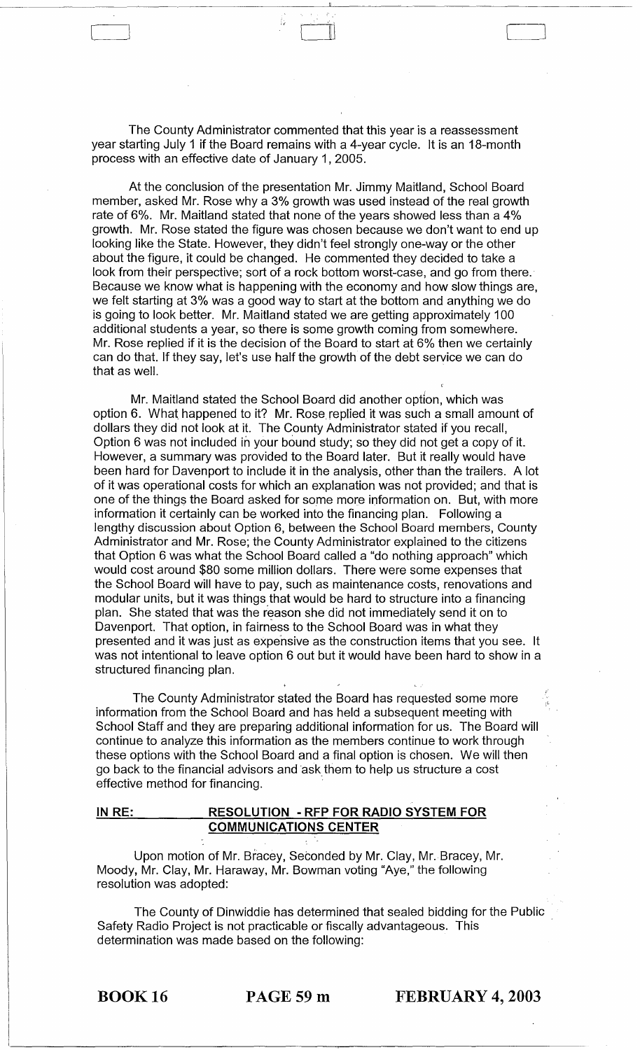The County Administrator commented that this year is a reassessment year starting July 1 if the Board remains with a 4-year cycle. It is an 18-month process with an effective date of January 1, 2005.

 $\begin{bmatrix} 1 & 1 \\ 1 & 1 \end{bmatrix}$ 

At the conclusion of the presentation Mr. Jimmy Maitland, School Board member, asked Mr. Rose why a 3% growth was used instead of the real growth rate of 6%. Mr. Maitland stated that none of the years showed less than a 4% growth. Mr. Rose stated the figure was chosen because we don't want to end up looking like the State. However, they didn't feel strongly one-way or the other about the figure, it could be changed. He commented they decided to take a look from their perspective; sort of a rock bottom worst-case, and go from there. Because we know what is happening with the economy and how slow things are, we felt starting at 3% was a good way to start at the bottom and anything we do is going to look better. Mr. Maitland stated we are getting approximately 100 additional students a year, so there is some growth coming from somewhere. Mr. Rose replied if it is the decision of the Board to start at 6% then we certainly can do that. If they say, let's use half the growth of the debt service we can do that as well.

Mr. Maitland stated the School Board did another option, which was option 6. What happened to it? Mr. Rose replied it was such a small amount of dollars they did not look at it. The County Administrator stated if you recall, Option 6 was not included in your bound study; so they did not get a copy of it. However, a summary was provided to the Board later. But it really would have been hard for Davenport to include it in the analysis, other than the trailers. A lot of it was operational costs for which an explanation was not provided; and that is one of the things the Board asked for some more information on. But, with more information it certainly can be worked into the financing plan. Following a lengthy discussion about Option 6, between the School Board members, County Administrator and Mr. Rose; the County Administrator explained to the citizens that Option 6 was what the School Board called a "do nothing approach" which would cost around \$80 some million dollars. There were some expenses that the School Board will have to pay, such as maintenance costs, renovations and modular units, but it was things that would be hard to structure into a financing plan. She stated that was the reason she did not immediately send it on to Davenport. That option, in fairness to the School Board was in what they presented and it was just as expensive as the construction items that you see. It was not intentional to leave option 6 out but it would have been hard to show in a structured financing plan.

The County Administrator stated the Board has requested some more information from the School Board and has held a subsequent meeting with School Staff and they are preparing additional information for us. The Board will continue to analyze this information as the members continue to work through these options with the School Board and a final option is chosen. We will then go back to the financial advisors and ask them to help us structure a cost effective method for financing.

## **IN RE: RESOLUTION - RFP FOR RADIO SYSTEM FOR COMMUNICATIONS CENTER**

Upon motion of Mr. Bracey, Seconded by Mr. Clay, Mr. Bracey, Mr. Moody, Mr. Clay, Mr. Haraway, Mr. Bowman voting "Aye," the following resolution was adopted:

The County of Dinwiddie has determined that sealed bidding for the Public Safety Radio Project is not practicable or fiscally advantageous. This determination was made based on the following:

BOOK 16 **PAGE59m FEBRUARY 4, 2003**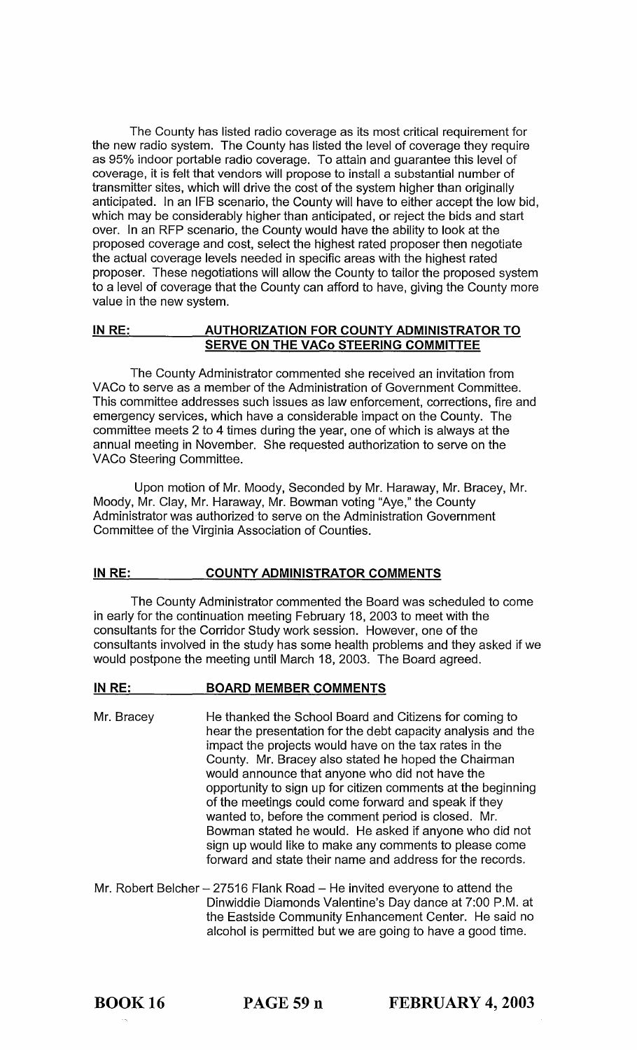The County has listed radio coverage as its most critical requirement for the new radio system. The County has listed the level of coverage they require as 95% indoor portable radio coverage. To attain and guarantee this level of coverage, it is felt that vendors will propose to install a substantial number of transmitter sites, which will drive the cost of the system higher than originally anticipated. In an IFB scenario, the County will have to either accept the low bid, which may be considerably higher than anticipated, or reject the bids and start over. In an RFP scenario, the County would have the ability to look at the proposed coverage and cost, select the highest rated proposer then negotiate the actual coverage levels needed in specific areas with the highest rated proposer. These negotiations will allow the County to tailor the proposed system to a level of coverage that the County can afford to have, giving the County more value in the new system.

## IN RE: AUTHORIZATION FOR COUNTY ADMINISTRATOR TO SERVE ON THE VACo STEERING COMMITTEE

The County Administrator commented she received an invitation from VACo to serve as a member of the Administration of Government Committee. This committee addresses such issues as law enforcement, corrections, fire and emergency services, which have a considerable impact on the County. The committee meets 2 to 4 times during the year, one of which is always at the annual meeting in November. She requested authorization to serve on the VACo Steering Committee.

Upon motion of Mr. Moody, Seconded by Mr. Haraway, Mr. Bracey, Mr. Moody, Mr. Clay, Mr. Haraway, Mr. Bowman voting "Aye," the County Administrator was authorized to serve on the Administration Government Committee of the Virginia Association of Counties.

## IN RE: COUNTY ADMINISTRATOR COMMENTS

The County Administrator commented the Board was scheduled to come in early for the continuation meeting February 18, 2003 to meet with the consultants for the Corridor Study work session. However, one of the consultants involved in the study has some health problems and they asked if we would postpone the meeting until March 18, 2003. The Board agreed.

#### IN RE: BOARD MEMBER COMMENTS

- Mr. Bracey He thanked the School Board and Citizens for coming to hear the presentation for the debt capacity analysis and the impact the projects would have on the tax rates in the County. Mr. Bracey also stated he hoped the Chairman would announce that anyone who did not have the opportunity to sign up for citizen comments at the beginning of the meetings could come forward and speak if they wanted to, before the comment period is closed. Mr. Bowman stated he would. He asked if anyone who did not sign up would like to make any comments to please come forward and state their name and address for the records.
- Mr. Robert Belcher  $-27516$  Flank Road  $-$  He invited everyone to attend the Dinwiddie Diamonds Valentine's Day dance at 7:00 P.M. at the Eastside Community Enhancement Center. He said no alcohol is permitted but we are going to have a good time.

BOOK 16 PAGE 59 n FEBRUARY 4, 2003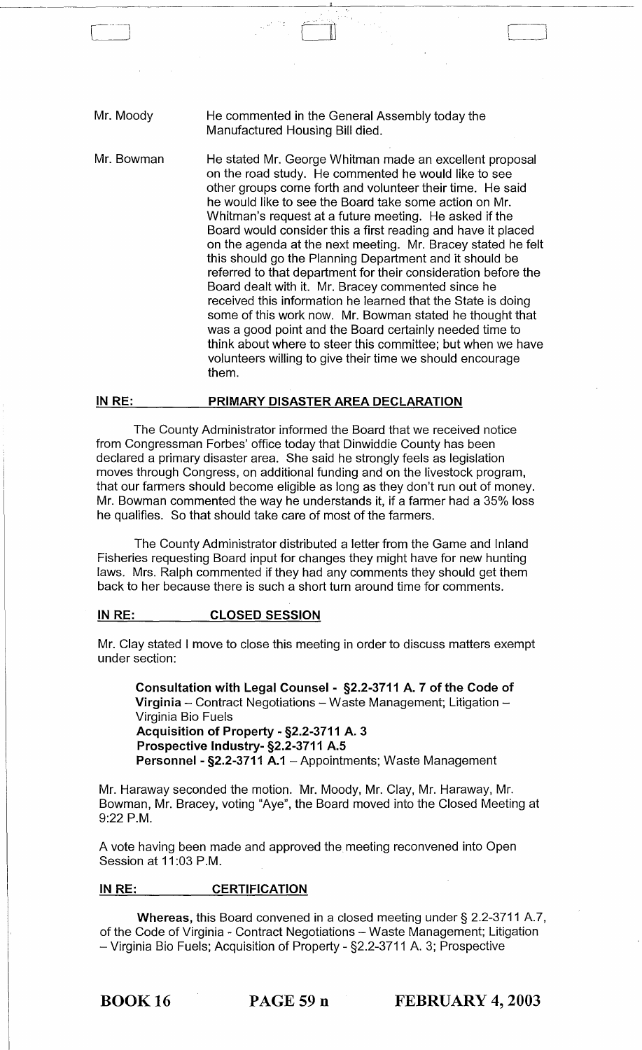| Mr. Moody  | He commented in the General Assembly today the<br>Manufactured Housing Bill died.                                                                                                                                                                                                                                                                                                                                                                                                                                                                                                                                                                                                                                                                                                                                                                                                                                                               |
|------------|-------------------------------------------------------------------------------------------------------------------------------------------------------------------------------------------------------------------------------------------------------------------------------------------------------------------------------------------------------------------------------------------------------------------------------------------------------------------------------------------------------------------------------------------------------------------------------------------------------------------------------------------------------------------------------------------------------------------------------------------------------------------------------------------------------------------------------------------------------------------------------------------------------------------------------------------------|
| Mr. Bowman | He stated Mr. George Whitman made an excellent proposal<br>on the road study. He commented he would like to see<br>other groups come forth and volunteer their time. He said<br>he would like to see the Board take some action on Mr.<br>Whitman's request at a future meeting. He asked if the<br>Board would consider this a first reading and have it placed<br>on the agenda at the next meeting. Mr. Bracey stated he felt<br>this should go the Planning Department and it should be<br>referred to that department for their consideration before the<br>Board dealt with it. Mr. Bracey commented since he<br>received this information he learned that the State is doing<br>some of this work now. Mr. Bowman stated he thought that<br>was a good point and the Board certainly needed time to<br>think about where to steer this committee; but when we have<br>volunteers willing to give their time we should encourage<br>them. |

~-.-.~~~-~~~~-~~~~~~~~~~~~'---~~~~~~~~~~~~~~~~~~-

 $\rfloor$ 

### IN RE: PRIMARY DISASTER AREA DECLARATION

The County Administrator informed the Board that we received notice from Congressman Forbes' office today that Dinwiddie County has been declared a primary disaster area. She said he strongly feels as legislation moves through Congress, on additional funding and on the livestock program, that our farmers should become eligible as long as they don't run out of money. Mr. Bowman commented the way he understands it, if a farmer had a 35% loss he qualifies. So that should take care of most of the farmers.

The County Administrator distributed a letter from the Game and Inland Fisheries requesting Board input for changes they might have for new hunting laws. Mrs. Ralph commented if they had any comments they should get them back to her because there is such a short turn around time for comments.

#### IN RE: CLOSED SESSION

Mr. Clay stated I move to close this meeting in order to discuss matters exempt under section:

Consultation with Legal Counsel - §2.2-3711 A. 7 of the Code of Virginia  $-$  Contract Negotiations  $-$  Waste Management; Litigation  $-$ Virginia Bio Fuels Acquisition of Property - §2.2-3711 A. 3 Prospective Industry- §2.2-3711 A.S Personnel - §2.2-3711 A.1 - Appointments; Waste Management

Mr. Haraway seconded the motion. Mr. Moody, Mr. Clay, Mr. Haraway, Mr. Bowman, Mr. Bracey, voting "Aye", the Board moved into the Closed Meeting at 9:22 P.M.

A vote having been made and approved the meeting reconvened into Open Session at 11:03 P.M.

## IN RE: CERTIFICATION

Whereas, this Board convened in a closed meeting under § 2.2-3711 A.7, of the Code of Virginia - Contract Negotiations - Waste Management; Litigation - Virginia Bio Fuels; Acquisition of Property - §2.2-3711 A. 3; Prospective

BOOK 16 PAGE 59 n FEBRUARY 4, 2003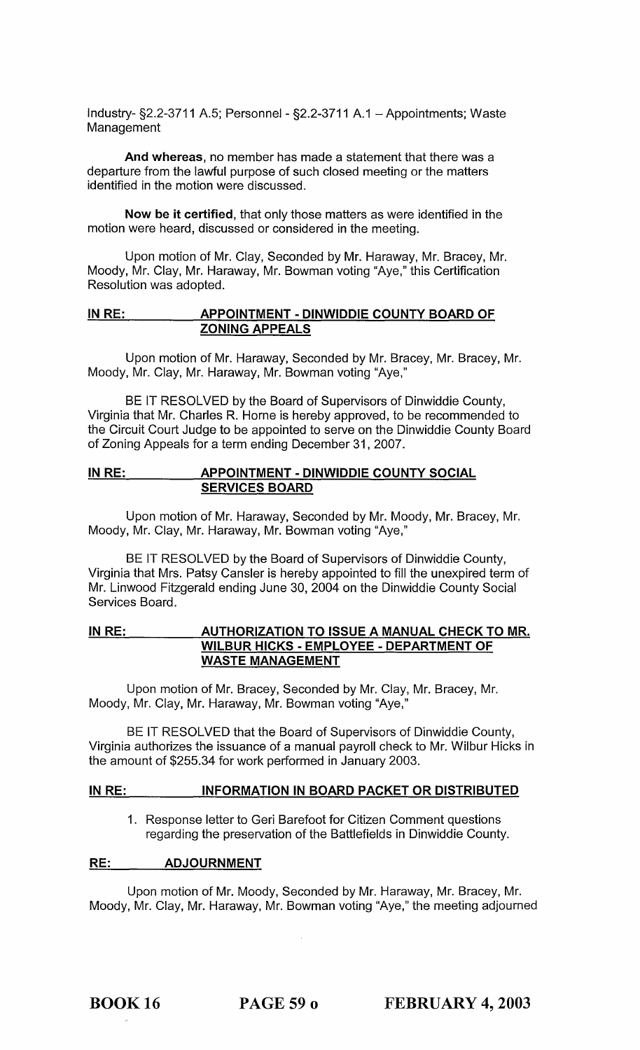Industry- §2.2-3711 A.5; Personnel - §2.2-3711 A.1 - Appointments; Waste Management

And whereas, no member has made a statement that there was a departure from the lawful purpose of such closed meeting or the matters identified in the motion were discussed.

Now be it certified, that only those matters as were identified in the motion were heard, discussed or considered in the meeting.

Upon motion of Mr. Clay, Seconded by Mr. Haraway, Mr. Bracey, Mr. Moody, Mr. Clay, Mr. Haraway, Mr. Bowman voting "Aye," this Certification Resolution was adopted.

## IN RE: APPOINTMENT - DINWIDDIE COUNTY BOARD OF ZONING APPEALS

Upon motion of Mr. Haraway, Seconded by Mr. Bracey, Mr. Bracey, Mr. Moody, Mr. Clay, Mr. Haraway, Mr. Bowman voting "Aye,"

BE IT RESOLVED by the Board of Supervisors of Dinwiddie County, Virginia that Mr. Charles R. Horne is hereby approved, to be recommended to the Circuit Court Judge to be appointed to serve on the Dinwiddie County Board of Zoning Appeals for a term ending December 31,2007.

## IN RE: APPOINTMENT - DINWIDDIE COUNTY SOCIAL SERVICES BOARD

Upon motion of Mr. Haraway, Seconded by Mr. Moody, Mr. Bracey, Mr. Moody, Mr. Clay, Mr. Haraway, Mr. Bowman voting "Aye,"

BE IT RESOLVED by the Board of Supervisors of Dinwiddie County, Virginia that Mrs. Patsy Cansler is hereby appointed to fill the unexpired term of Mr. Linwood Fitzgerald ending June 30, 2004 on the Dinwiddie County Social Services Board.

## IN RE: AUTHORIZATION TO ISSUE A MANUAL CHECK TO MR. WILBUR HICKS - EMPLOYEE - DEPARTMENT OF WASTE MANAGEMENT

Upon motion of Mr. Bracey, Seconded by Mr. Clay, Mr. Bracey, Mr. Moody, Mr. Clay, Mr. Haraway, Mr. Bowman voting "Aye,"

BE IT RESOLVED that the Board of Supervisors of Dinwiddie County, Virginia authorizes the issuance of a manual payroll check to Mr. Wilbur Hicks in the amount of \$255.34 for work performed in January 2003.

## IN RE: INFORMATION IN BOARD PACKET OR DISTRIBUTED

1. Response letter to Geri Barefoot for Citizen Comment questions regarding the preservation of the Battlefields in Dinwiddie County.

## RE: ADJOURNMENT

Upon motion of Mr. Moody, Seconded by Mr. Haraway, Mr. Bracey, Mr. Moody, Mr. Clay, Mr. Haraway, Mr. Bowman voting "Aye," the meeting adjourned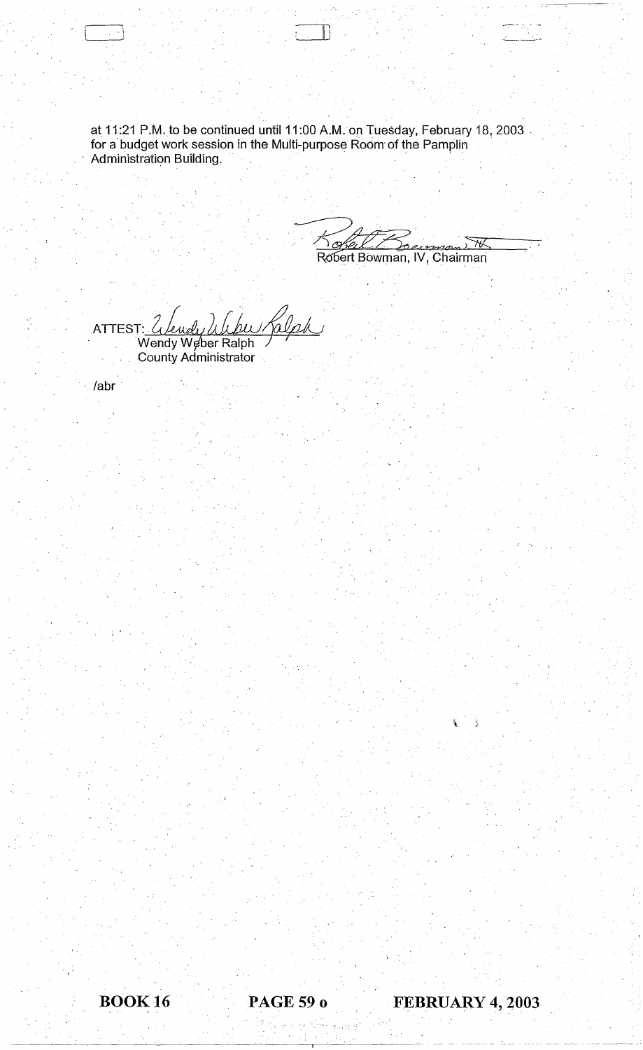at 11:21 P.M.to be continued until 11:00 A.M. on Tuesday, February 18, 2003 ' for a budget work session in the Multi-purpose Room of the Pamplin ' Administration Building.

 $-$  --- $-$ 

 $K$ obel Bouman th Robert Bowman, IV, Chairman

c

ATTEST: <u>Wendy Weber Ralph</u> County Administrator

/abr'

international<br>Contractor de la propie

Ù,

HOOK 16 **PAGE 59 0 FEBRUARY 4, 2003** 

 $\frac{1}{2} \left( \frac{1}{2} \right) \left( \frac{1}{2} \right) \left( \frac{1}{2} \right) \left( \frac{1}{2} \right) \left( \frac{1}{2} \right) \left( \frac{1}{2} \right) \left( \frac{1}{2} \right) \left( \frac{1}{2} \right) \left( \frac{1}{2} \right) \left( \frac{1}{2} \right) \left( \frac{1}{2} \right) \left( \frac{1}{2} \right) \left( \frac{1}{2} \right) \left( \frac{1}{2} \right) \left( \frac{1}{2} \right) \left( \frac{1}{2} \right) \left( \frac$ 

Fa.

Ĵ.